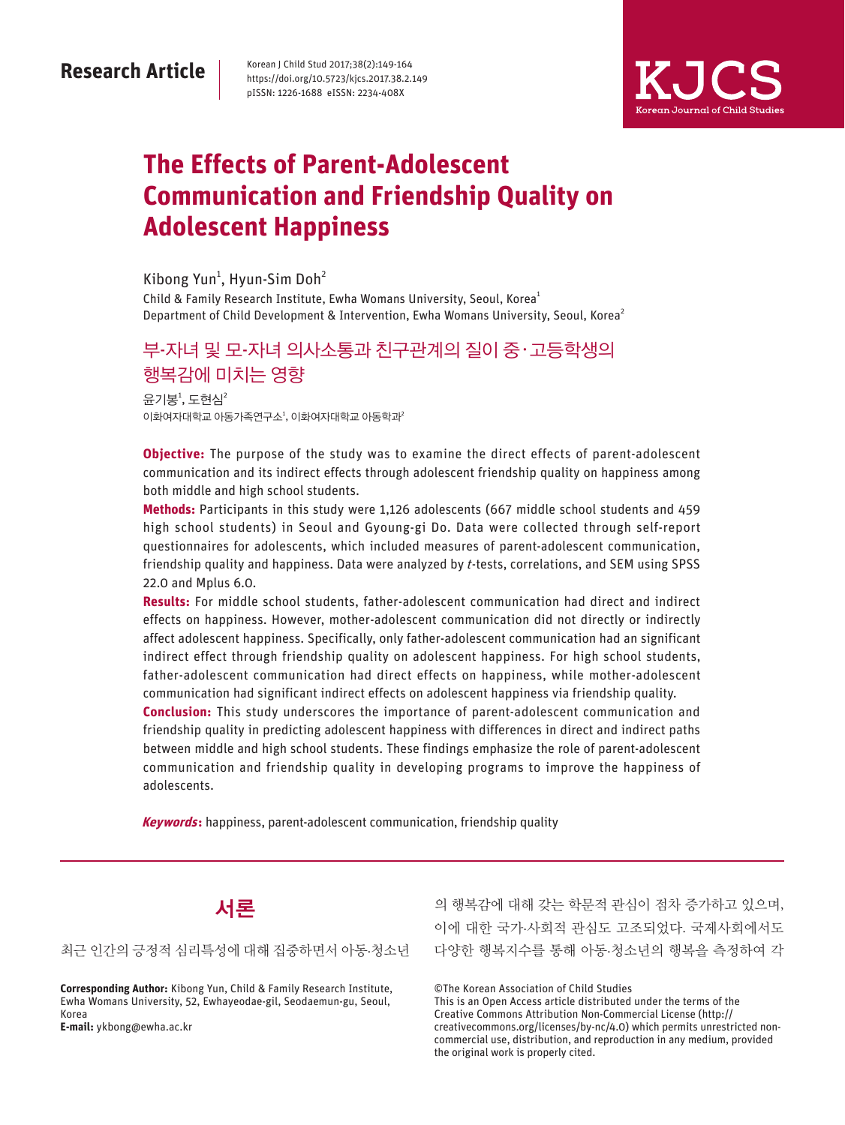# **Research Article**

Korean J Child Stud 2017;38(2):149-164 https://doi.org/10.5723/kjcs.2017.38.2.149 pISSN: 1226-1688 eISSN: 2234-408X



# **The Effects of Parent-Adolescent Communication and Friendship Quality on Adolescent Happiness**

Child & Family Research Institute, Ewha Womans University, Seoul, Korea<sup>1</sup> Department of Child Development & Intervention, Ewha Womans University, Seoul, Korea<sup>2</sup> Kibong Yun<sup>1</sup>, Hyun-Sim Doh<sup>2</sup>

# 부-자녀 및 모-자녀 의사소통과 친구관계의 질이 중 · 고등학생의 행복감에 미치는 영향

윤기봉 $^1$ , 도현심 $^2$ 이화여자대학교 아동가족연구소<sup>1</sup>, 이화여자대학교 아동학과<sup>2</sup>

**Objective:** The purpose of the study was to examine the direct effects of parent-adolescent communication and its indirect effects through adolescent friendship quality on happiness among both middle and high school students.

**Methods:** Participants in this study were 1,126 adolescents (667 middle school students and 459 high school students) in Seoul and Gyoung-gi Do. Data were collected through self-report questionnaires for adolescents, which included measures of parent-adolescent communication, friendship quality and happiness. Data were analyzed by t-tests, correlations, and SEM using SPSS 22.0 and Mplus 6.0.

**Results:** For middle school students, father-adolescent communication had direct and indirect effects on happiness. However, mother-adolescent communication did not directly or indirectly affect adolescent happiness. Specifically, only father-adolescent communication had an significant indirect effect through friendship quality on adolescent happiness. For high school students, father-adolescent communication had direct effects on happiness, while mother-adolescent communication had significant indirect effects on adolescent happiness via friendship quality.

**Conclusion:** This study underscores the importance of parent-adolescent communication and friendship quality in predicting adolescent happiness with differences in direct and indirect paths between middle and high school students. These findings emphasize the role of parent-adolescent communication and friendship quality in developing programs to improve the happiness of adolescents.

**Keywords:** happiness, parent-adolescent communication, friendship quality



#### 최근 인간의 긍정적 심리특성에 대해 집중하면서 아동·청소년

**Corresponding Author:** Kibong Yun, Child & Family Research Institute, Ewha Womans University, 52, Ewhayeodae-gil, Seodaemun-gu, Seoul, Korea **E-mail:** ykbong@ewha.ac.kr

의 행복감에 대해 갖는 학문적 관심이 점차 증가하고 있으며, 이에 대한 국가·사회적 관심도 고조되었다. 국제사회에서도 다양한 행복지수를 통해 아동·청소년의 행복을 측정하여 각

©The Korean Association of Child Studies

This is an Open Access article distributed under the terms of the Creative Commons Attribution Non-Commercial License (http:// creativecommons.org/licenses/by-nc/4.0) which permits unrestricted noncommercial use, distribution, and reproduction in any medium, provided the original work is properly cited.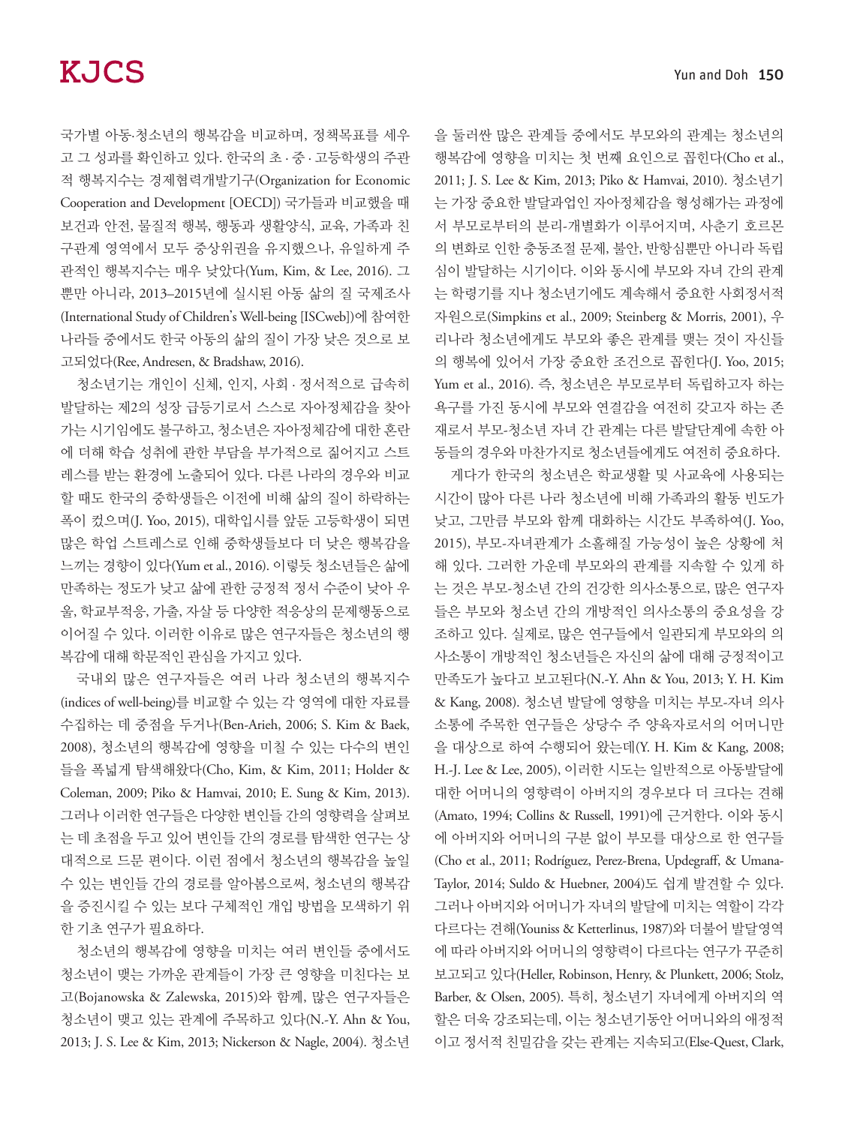국가별 아동·청소년의 행복감을 비교하며, 정책목표를 세우 고 그 성과를 확인하고 있다. 한국의 초 · 중 · 고등학생의 주관 적 행복지수는 경제협력개발기구(Organization for Economic Cooperation and Development [OECD]) 국가들과 비교했을 때 보건과 안전, 물질적 행복, 행동과 생활양식, 교육, 가족과 친 구관계 영역에서 모두 중상위권을 유지했으나, 유일하게 주 관적인 행복지수는 매우 낮았다(Yum, Kim, & Lee, 2016). 그 뿐만 아니라, 2013–2015년에 실시된 아동 삶의 질 국제조사 (International Study of Children's Well-being [ISCweb])에 참여한 나라들 중에서도 한국 아동의 삶의 질이 가장 낮은 것으로 보 고되었다(Ree, Andresen, & Bradshaw, 2016).

청소년기는 개인이 신체, 인지, 사회 · 정서적으로 급속히 발달하는 제2의 성장 급등기로서 스스로 자아정체감을 찾아 가는 시기임에도 불구하고, 청소년은 자아정체감에 대한 혼란 에 더해 학습 성취에 관한 부담을 부가적으로 짊어지고 스트 레스를 받는 환경에 노출되어 있다. 다른 나라의 경우와 비교 할 때도 한국의 중학생들은 이전에 비해 삶의 질이 하락하는 폭이 컸으며(J. Yoo, 2015), 대학입시를 앞둔 고등학생이 되면 많은 학업 스트레스로 인해 중학생들보다 더 낮은 행복감을 느끼는 경향이 있다(Yum et al., 2016). 이렇듯 청소년들은 삶에 만족하는 정도가 낮고 삶에 관한 긍정적 정서 수준이 낮아 우 울, 학교부적응, 가출, 자살 등 다양한 적응상의 문제행동으로 이어질 수 있다. 이러한 이유로 많은 연구자들은 청소년의 행 복감에 대해 학문적인 관심을 가지고 있다.

국내외 많은 연구자들은 여러 나라 청소년의 행복지수 (indices of well-being)를 비교할 수 있는 각 영역에 대한 자료를 수집하는 데 중점을 두거나(Ben-Arieh, 2006; S. Kim & Baek, 2008), 청소년의 행복감에 영향을 미칠 수 있는 다수의 변인 들을 폭넓게 탐색해왔다(Cho, Kim, & Kim, 2011; Holder & Coleman, 2009; Piko & Hamvai, 2010; E. Sung & Kim, 2013). 그러나 이러한 연구들은 다양한 변인들 간의 영향력을 살펴보 는 데 초점을 두고 있어 변인들 간의 경로를 탐색한 연구는 상 대적으로 드문 편이다. 이런 점에서 청소년의 행복감을 높일 수 있는 변인들 간의 경로를 알아봄으로써, 청소년의 행복감 을 증진시킬 수 있는 보다 구체적인 개입 방법을 모색하기 위 한 기초 연구가 필요하다.

청소년의 행복감에 영향을 미치는 여러 변인들 중에서도 청소년이 맺는 가까운 관계들이 가장 큰 영향을 미친다는 보 고(Bojanowska & Zalewska, 2015)와 함께, 많은 연구자들은 청소년이 맺고 있는 관계에 주목하고 있다(N.-Y. Ahn & You, 2013; J. S. Lee & Kim, 2013; Nickerson & Nagle, 2004). 청소년 을 둘러싼 많은 관계들 중에서도 부모와의 관계는 청소년의 행복감에 영향을 미치는 첫 번째 요인으로 꼽힌다(Cho et al., 2011; J. S. Lee & Kim, 2013; Piko & Hamvai, 2010). 청소년기 는 가장 중요한 발달과업인 자아정체감을 형성해가는 과정에 서 부모로부터의 분리-개별화가 이루어지며, 사춘기 호르몬 의 변화로 인한 충동조절 문제, 불안, 반항심뿐만 아니라 독립 심이 발달하는 시기이다. 이와 동시에 부모와 자녀 간의 관계 는 학령기를 지나 청소년기에도 계속해서 중요한 사회정서적 자원으로(Simpkins et al., 2009; Steinberg & Morris, 2001), 우 리나라 청소년에게도 부모와 좋은 관계를 맺는 것이 자신들 의 행복에 있어서 가장 중요한 조건으로 꼽힌다(J. Yoo, 2015; Yum et al., 2016). 즉, 청소년은 부모로부터 독립하고자 하는 욕구를 가진 동시에 부모와 연결감을 여전히 갖고자 하는 존 재로서 부모-청소년 자녀 간 관계는 다른 발달단계에 속한 아 동들의 경우와 마찬가지로 청소년들에게도 여전히 중요하다.

게다가 한국의 청소년은 학교생활 및 사교육에 사용되는 시간이 많아 다른 나라 청소년에 비해 가족과의 활동 빈도가 낮고, 그만큼 부모와 함께 대화하는 시간도 부족하여(J. Yoo, 2015), 부모-자녀관계가 소홀해질 가능성이 높은 상황에 처 해 있다. 그러한 가운데 부모와의 관계를 지속할 수 있게 하 는 것은 부모-청소년 간의 건강한 의사소통으로, 많은 연구자 들은 부모와 청소년 간의 개방적인 의사소통의 중요성을 강 조하고 있다. 실제로, 많은 연구들에서 일관되게 부모와의 의 사소통이 개방적인 청소년들은 자신의 삶에 대해 긍정적이고 만족도가 높다고 보고된다(N.-Y. Ahn & You, 2013; Y. H. Kim & Kang, 2008). 청소년 발달에 영향을 미치는 부모-자녀 의사 소통에 주목한 연구들은 상당수 주 양육자로서의 어머니만 을 대상으로 하여 수행되어 왔는데(Y. H. Kim & Kang, 2008; H.-J. Lee & Lee, 2005), 이러한 시도는 일반적으로 아동발달에 대한 어머니의 영향력이 아버지의 경우보다 더 크다는 견해 (Amato, 1994; Collins & Russell, 1991)에 근거한다. 이와 동시 에 아버지와 어머니의 구분 없이 부모를 대상으로 한 연구들 (Cho et al., 2011; Rodríguez, Perez-Brena, Updegraff, & Umana-Taylor, 2014; Suldo & Huebner, 2004)도 쉽게 발견할 수 있다. 그러나 아버지와 어머니가 자녀의 발달에 미치는 역할이 각각 다르다는 견해(Youniss & Ketterlinus, 1987)와 더불어 발달영역 에 따라 아버지와 어머니의 영향력이 다르다는 연구가 꾸준히 보고되고 있다(Heller, Robinson, Henry, & Plunkett, 2006; Stolz, Barber, & Olsen, 2005). 특히, 청소년기 자녀에게 아버지의 역 할은 더욱 강조되는데, 이는 청소년기동안 어머니와의 애정적 이고 정서적 친밀감을 갖는 관계는 지속되고(Else-Quest, Clark,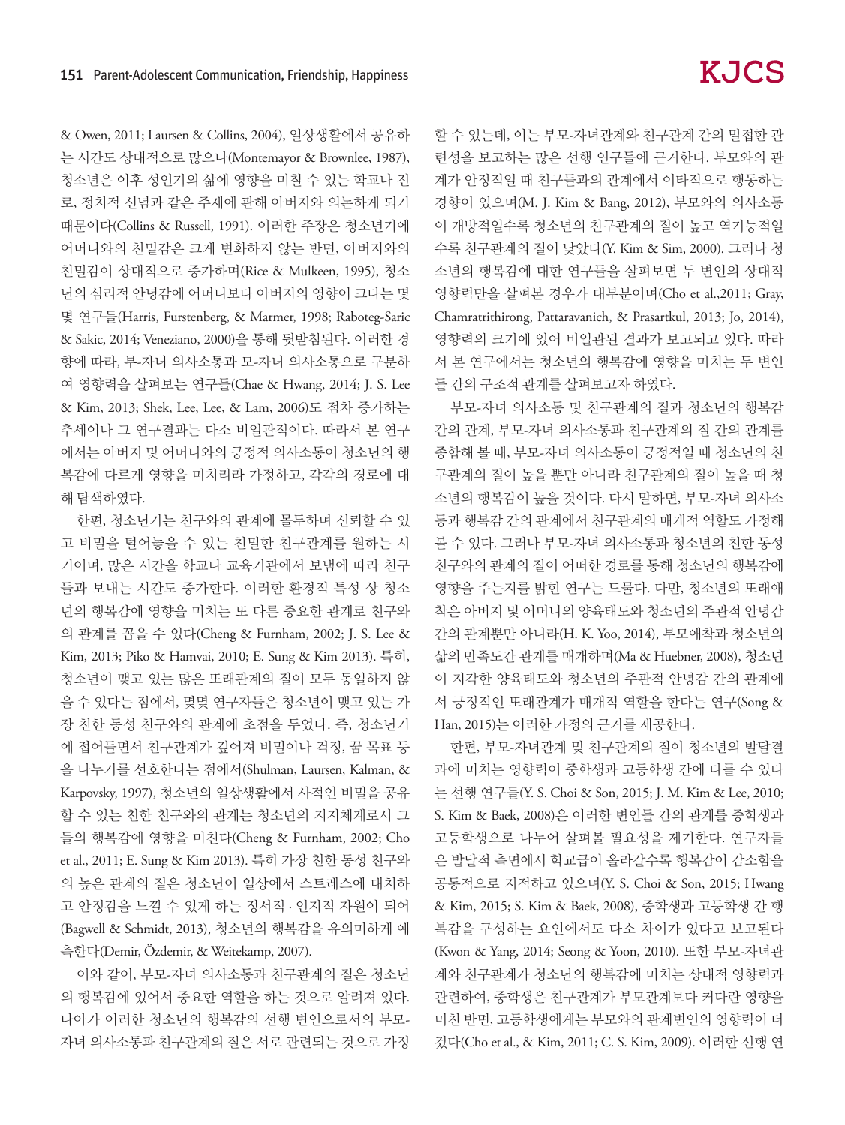& Owen, 2011; Laursen & Collins, 2004), 일상생활에서 공유하 는 시간도 상대적으로 많으나(Montemayor & Brownlee, 1987), 청소년은 이후 성인기의 삶에 영향을 미칠 수 있는 학교나 진 로, 정치적 신념과 같은 주제에 관해 아버지와 의논하게 되기 때문이다(Collins & Russell, 1991). 이러한 주장은 청소년기에 어머니와의 친밀감은 크게 변화하지 않는 반면, 아버지와의 친밀감이 상대적으로 증가하며(Rice & Mulkeen, 1995), 청소 년의 심리적 안녕감에 어머니보다 아버지의 영향이 크다는 몇 몇 연구들(Harris, Furstenberg, & Marmer, 1998; Raboteg-Saric & Sakic, 2014; Veneziano, 2000)을 통해 뒷받침된다. 이러한 경 향에 따라, 부-자녀 의사소통과 모-자녀 의사소통으로 구분하 여 영향력을 살펴보는 연구들(Chae & Hwang, 2014; J. S. Lee & Kim, 2013; Shek, Lee, Lee, & Lam, 2006)도 점차 증가하는 추세이나 그 연구결과는 다소 비일관적이다. 따라서 본 연구 에서는 아버지 및 어머니와의 긍정적 의사소통이 청소년의 행 복감에 다르게 영향을 미치리라 가정하고, 각각의 경로에 대 해 탐색하였다.

한편, 청소년기는 친구와의 관계에 몰두하며 신뢰할 수 있 고 비밀을 털어놓을 수 있는 친밀한 친구관계를 원하는 시 기이며, 많은 시간을 학교나 교육기관에서 보냄에 따라 친구 들과 보내는 시간도 증가한다. 이러한 환경적 특성 상 청소 년의 행복감에 영향을 미치는 또 다른 중요한 관계로 친구와 의 관계를 꼽을 수 있다(Cheng & Furnham, 2002; J. S. Lee & Kim, 2013; Piko & Hamvai, 2010; E. Sung & Kim 2013). 특히, 청소년이 맺고 있는 많은 또래관계의 질이 모두 동일하지 않 을 수 있다는 점에서, 몇몇 연구자들은 청소년이 맺고 있는 가 장 친한 동성 친구와의 관계에 초점을 두었다. 즉, 청소년기 에 접어들면서 친구관계가 깊어져 비밀이나 걱정, 꿈 목표 등 을 나누기를 선호한다는 점에서(Shulman, Laursen, Kalman, & Karpovsky, 1997), 청소년의 일상생활에서 사적인 비밀을 공유 할 수 있는 친한 친구와의 관계는 청소년의 지지체계로서 그 들의 행복감에 영향을 미친다(Cheng & Furnham, 2002; Cho et al., 2011; E. Sung & Kim 2013). 특히 가장 친한 동성 친구와 의 높은 관계의 질은 청소년이 일상에서 스트레스에 대처하 고 안정감을 느낄 수 있게 하는 정서적 · 인지적 자원이 되어 (Bagwell & Schmidt, 2013), 청소년의 행복감을 유의미하게 예 측한다(Demir, Özdemir, & Weitekamp, 2007).

이와 같이, 부모-자녀 의사소통과 친구관계의 질은 청소년 의 행복감에 있어서 중요한 역할을 하는 것으로 알려져 있다. 나아가 이러한 청소년의 행복감의 선행 변인으로서의 부모-자녀 의사소통과 친구관계의 질은 서로 관련되는 것으로 가정 할 수 있는데, 이는 부모-자녀관계와 친구관계 간의 밀접한 관 련성을 보고하는 많은 선행 연구들에 근거한다. 부모와의 관 계가 안정적일 때 친구들과의 관계에서 이타적으로 행동하는 경향이 있으며(M. J. Kim & Bang, 2012), 부모와의 의사소통 이 개방적일수록 청소년의 친구관계의 질이 높고 역기능적일 수록 친구관계의 질이 낮았다(Y. Kim & Sim, 2000). 그러나 청 소년의 행복감에 대한 연구들을 살펴보면 두 변인의 상대적 영향력만을 살펴본 경우가 대부분이며(Cho et al.,2011; Gray, Chamratrithirong, Pattaravanich, & Prasartkul, 2013; Jo, 2014), 영향력의 크기에 있어 비일관된 결과가 보고되고 있다. 따라 서 본 연구에서는 청소년의 행복감에 영향을 미치는 두 변인 들 간의 구조적 관계를 살펴보고자 하였다.

부모-자녀 의사소통 및 친구관계의 질과 청소년의 행복감 간의 관계, 부모-자녀 의사소통과 친구관계의 질 간의 관계를 종합해 볼 때, 부모-자녀 의사소통이 긍정적일 때 청소년의 친 구관계의 질이 높을 뿐만 아니라 친구관계의 질이 높을 때 청 소년의 행복감이 높을 것이다. 다시 말하면, 부모-자녀 의사소 통과 행복감 간의 관계에서 친구관계의 매개적 역할도 가정해 볼 수 있다. 그러나 부모-자녀 의사소통과 청소년의 친한 동성 친구와의 관계의 질이 어떠한 경로를 통해 청소년의 행복감에 영향을 주는지를 밝힌 연구는 드물다. 다만, 청소년의 또래애 착은 아버지 및 어머니의 양육태도와 청소년의 주관적 안녕감 간의 관계뿐만 아니라(H. K. Yoo, 2014), 부모애착과 청소년의 삶의 만족도간 관계를 매개하며(Ma & Huebner, 2008), 청소년 이 지각한 양육태도와 청소년의 주관적 안녕감 간의 관계에 서 긍정적인 또래관계가 매개적 역할을 한다는 연구(Song & Han, 2015)는 이러한 가정의 근거를 제공한다.

한편, 부모-자녀관계 및 친구관계의 질이 청소년의 발달결 과에 미치는 영향력이 중학생과 고등학생 간에 다를 수 있다 는 선행 연구들(Y. S. Choi & Son, 2015; J. M. Kim & Lee, 2010; S. Kim & Baek, 2008)은 이러한 변인들 간의 관계를 중학생과 고등학생으로 나누어 살펴볼 필요성을 제기한다. 연구자들 은 발달적 측면에서 학교급이 올라갈수록 행복감이 감소함을 공통적으로 지적하고 있으며(Y. S. Choi & Son, 2015; Hwang & Kim, 2015; S. Kim & Baek, 2008), 중학생과 고등학생 간 행 복감을 구성하는 요인에서도 다소 차이가 있다고 보고된다 (Kwon & Yang, 2014; Seong & Yoon, 2010). 또한 부모-자녀관 계와 친구관계가 청소년의 행복감에 미치는 상대적 영향력과 관련하여, 중학생은 친구관계가 부모관계보다 커다란 영향을 미친 반면, 고등학생에게는 부모와의 관계변인의 영향력이 더 컸다(Cho et al., & Kim, 2011; C. S. Kim, 2009). 이러한 선행 연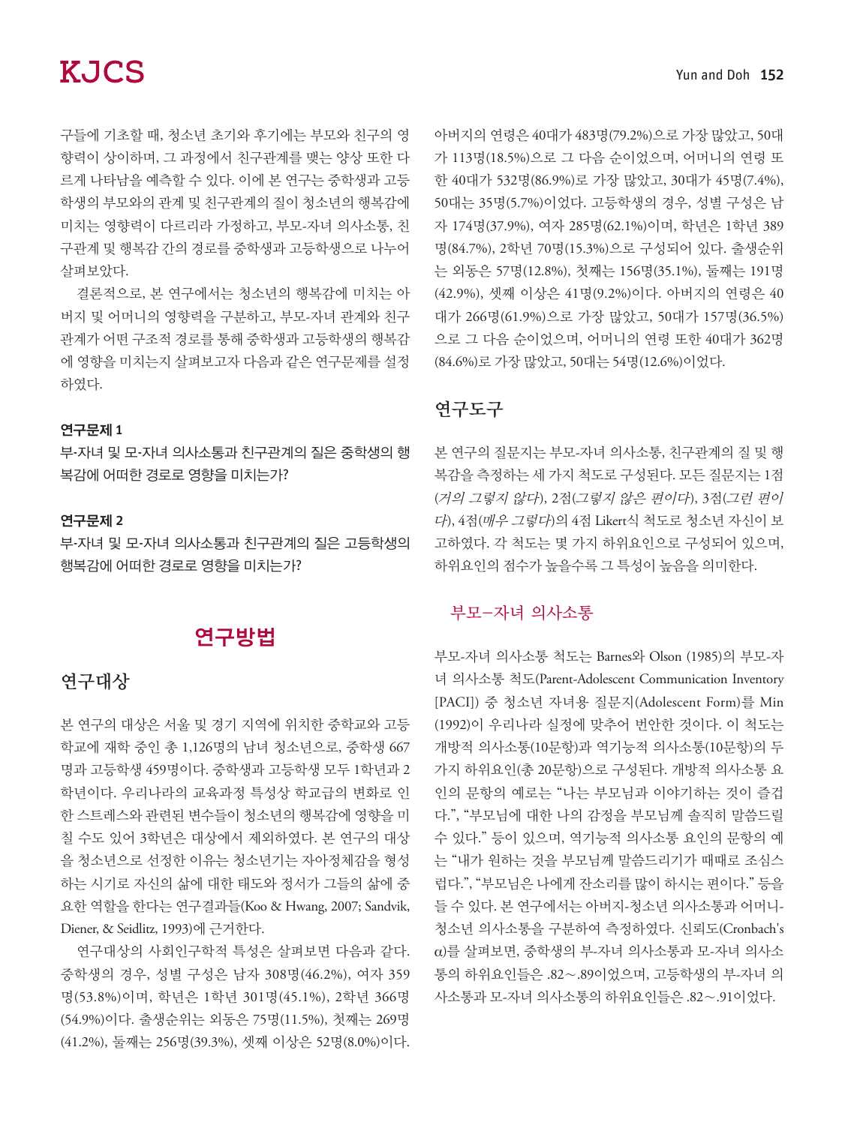구들에 기초할 때, 청소년 초기와 후기에는 부모와 친구의 영 향력이 상이하며, 그 과정에서 친구관계를 맺는 양상 또한 다 르게 나타남을 예측할 수 있다. 이에 본 연구는 중학생과 고등 학생의 부모와의 관계 및 친구관계의 질이 청소년의 행복감에 미치는 영향력이 다르리라 가정하고, 부모-자녀 의사소통, 친 구관계 및 행복감 간의 경로를 중학생과 고등학생으로 나누어 살펴보았다.

결론적으로, 본 연구에서는 청소년의 행복감에 미치는 아 버지 및 어머니의 영향력을 구분하고, 부모-자녀 관계와 친구 관계가 어떤 구조적 경로를 통해 중학생과 고등학생의 행복감 에 영향을 미치는지 살펴보고자 다음과 같은 연구문제를 설정 하였다.

#### 연구문제 1

부-자녀 및 모-자녀 의사소통과 친구관계의 질은 중학생의 행 복감에 어떠한 경로로 영향을 미치는가?

#### 연구문제 2

부-자녀 및 모-자녀 의사소통과 친구관계의 질은 고등학생의 행복감에 어떠한 경로로 영향을 미치는가?

# 연구방법

### 연구대상

본 연구의 대상은 서울 및 경기 지역에 위치한 중학교와 고등 학교에 재학 중인 총 1,126명의 남녀 청소년으로, 중학생 667 명과 고등학생 459명이다. 중학생과 고등학생 모두 1학년과 2 학년이다. 우리나라의 교육과정 특성상 학교급의 변화로 인 한 스트레스와 관련된 변수들이 청소년의 행복감에 영향을 미 칠 수도 있어 3학년은 대상에서 제외하였다. 본 연구의 대상 을 청소년으로 선정한 이유는 청소년기는 자아정체감을 형성 하는 시기로 자신의 삶에 대한 태도와 정서가 그들의 삶에 중 요한 역할을 한다는 연구결과들(Koo & Hwang, 2007; Sandvik, Diener, & Seidlitz, 1993)에 근거한다.

연구대상의 사회인구학적 특성은 살펴보면 다음과 같다. 중학생의 경우, 성별 구성은 남자 308명(46.2%), 여자 359 명(53.8%)이며, 학년은 1학년 301명(45.1%), 2학년 366명 (54.9%)이다. 출생순위는 외동은 75명(11.5%), 첫째는 269명 (41.2%), 둘째는 256명(39.3%), 셋째 이상은 52명(8.0%)이다.

아버지의 연령은 40대가 483명(79.2%)으로 가장 많았고, 50대 가 113명(18.5%)으로 그 다음 순이었으며, 어머니의 연령 또 한 40대가 532명(86.9%)로 가장 많았고, 30대가 45명(7.4%), 50대는 35명(5.7%)이었다. 고등학생의 경우, 성별 구성은 남 자 174명(37.9%), 여자 285명(62.1%)이며, 학년은 1학년 389 명(84.7%), 2학년 70명(15.3%)으로 구성되어 있다. 출생순위 는 외동은 57명(12.8%), 첫째는 156명(35.1%), 둘째는 191명 (42.9%), 셋째 이상은 41명(9.2%)이다. 아버지의 연령은 40 대가 266명(61.9%)으로 가장 많았고, 50대가 157명(36.5%) 으로 그 다음 순이었으며, 어머니의 연령 또한 40대가 362명 (84.6%)로 가장 많았고, 50대는 54명(12.6%)이었다.

### 연구도구

본 연구의 질문지는 부모-자녀 의사소통, 친구관계의 질 및 행 복감을 측정하는 세 가지 척도로 구성된다. 모든 질문지는 1점 (거의 그렇지 않다), 2점(그렇지 않은 편이다), 3점(그런 편이 다), 4점(매우 그렇다)의 4점 Likert식 척도로 청소년 자신이 보 고하였다. 각 척도는 몇 가지 하위요인으로 구성되어 있으며, 하위요인의 점수가 높을수록 그 특성이 높음을 의미한다.

#### 부모-자녀 의사소통

부모-자녀 의사소통 척도는 Barnes와 Olson (1985)의 부모-자 녀 의사소통 척도(Parent-Adolescent Communication Inventory [PACI]) 중 청소년 자녀용 질문지(Adolescent Form)를 Min (1992)이 우리나라 실정에 맞추어 번안한 것이다. 이 척도는 개방적 의사소통(10문항)과 역기능적 의사소통(10문항)의 두 가지 하위요인(총 20문항)으로 구성된다. 개방적 의사소통 요 인의 문항의 예로는 "나는 부모님과 이야기하는 것이 즐겁 다.", "부모님에 대한 나의 감정을 부모님께 솔직히 말씀드릴 수 있다." 등이 있으며, 역기능적 의사소통 요인의 문항의 예 는 "내가 원하는 것을 부모님께 말씀드리기가 때때로 조심스 럽다.", "부모님은 나에게 잔소리를 많이 하시는 편이다." 등을 들 수 있다. 본 연구에서는 아버지-청소년 의사소통과 어머니-청소년 의사소통을 구분하여 측정하였다. 신뢰도(Cronbach's α)를 살펴보면, 중학생의 부-자녀 의사소통과 모-자녀 의사소 통의 하위요인들은 .82∼.89이었으며, 고등학생의 부-자녀 의 사소통과 모-자녀 의사소통의 하위요인들은 .82∼.91이었다.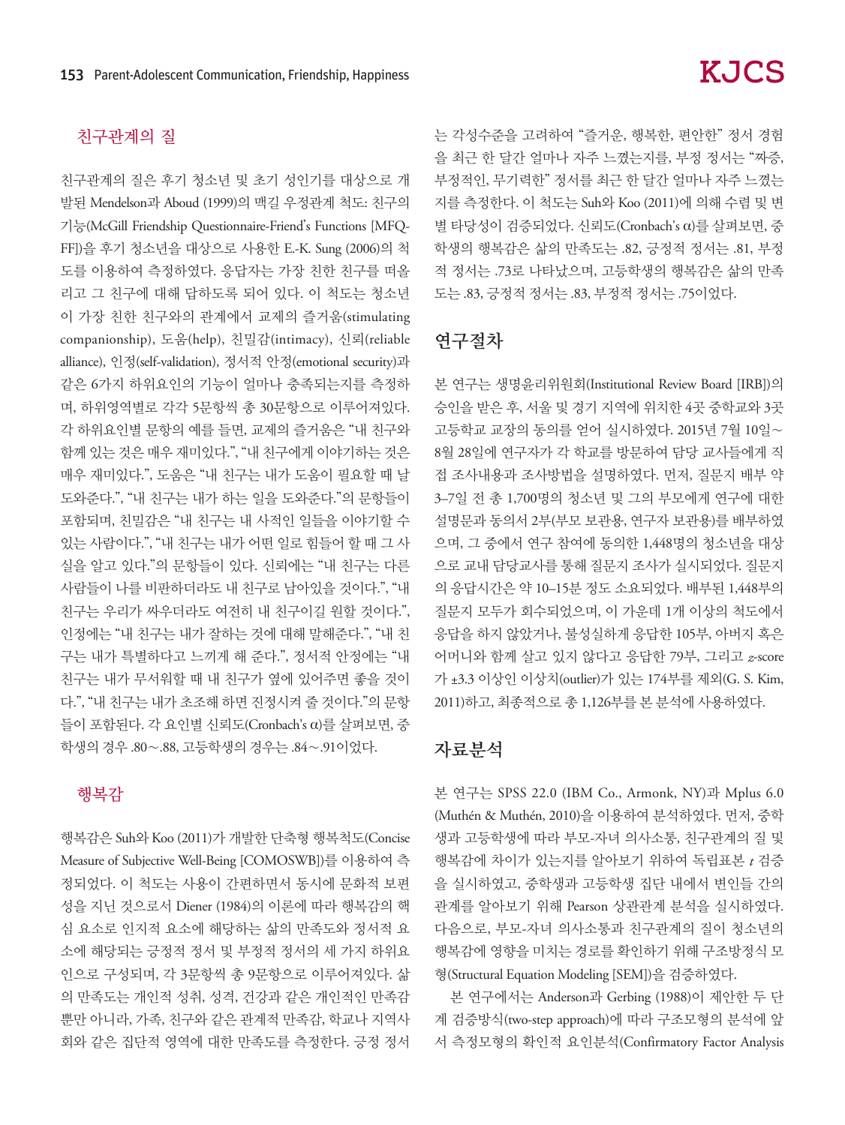## 친구관계의 질

친구관계의 질은 후기 청소년 및 초기 성인기를 대상으로 개 발된 Mendelson과 Aboud (1999)의 맥길 우정관계 척도: 친구의 기능(McGill Friendship Questionnaire-Friend's Functions [MFQ-FF])을 후기 청소년을 대상으로 사용한 E.-K. Sung (2006)의 척 도를 이용하여 측정하였다. 응답자는 가장 친한 친구를 떠올 리고 그 친구에 대해 답하도록 되어 있다. 이 척도는 청소년 이 가장 친한 친구와의 관계에서 교제의 즐거움(stimulating companionship), 도움(help), 친밀감(intimacy), 신뢰(reliable alliance), 인정(self-validation), 정서적 안정(emotional security)과 같은 6가지 하위요인의 기능이 얼마나 충족되는지를 측정하 며, 하위영역별로 각각 5문항씩 총 30문항으로 이루어져있다. 각 하위요인별 문항의 예를 들면, 교제의 즐거움은 "내 친구와 함께 있는 것은 매우 재미있다.", "내 친구에게 이야기하는 것은 매우 재미있다.", 도움은 "내 친구는 내가 도움이 필요할 때 날 도와준다.", "내 친구는 내가 하는 일을 도와준다."의 문항들이 포함되며, 친밀감은 "내 친구는 내 사적인 일들을 이야기할 수 있는 사람이다.", "내 친구는 내가 어떤 일로 힘들어 할 때 그 사 실을 알고 있다."의 문항들이 있다. 신뢰에는 "내 친구는 다른 사람들이 나를 비판하더라도 내 친구로 남아있을 것이다.", "내 친구는 우리가 싸우더라도 여전히 내 친구이길 원할 것이다.", 인정에는 "내 친구는 내가 잘하는 것에 대해 말해준다.", "내 친 구는 내가 특별하다고 느끼게 해 준다.", 정서적 안정에는 "내 친구는 내가 무서워할 때 내 친구가 옆에 있어주면 좋을 것이 다.", "내 친구는 내가 초조해 하면 진정시켜 줄 것이다."의 문항 들이 포함된다. 각 요인별 신뢰도(Cronbach's α)를 살펴보면, 중 학생의 경우 .80∼.88, 고등학생의 경우는 .84∼.91이었다.

#### 행복감

행복감은 Suh와 Koo (2011)가 개발한 단축형 행복척도(Concise Measure of Subjective Well-Being [COMOSWB])를 이용하여 측 정되었다. 이 척도는 사용이 간편하면서 동시에 문화적 보편 성을 지닌 것으로서 Diener (1984)의 이론에 따라 행복감의 핵 심 요소로 인지적 요소에 해당하는 삶의 만족도와 정서적 요 소에 해당되는 긍정적 정서 및 부정적 정서의 세 가지 하위요 인으로 구성되며, 각 3문항씩 총 9문항으로 이루어져있다. 삶 의 만족도는 개인적 성취, 성격, 건강과 같은 개인적인 만족감 뿐만 아니라, 가족, 친구와 같은 관계적 만족감, 학교나 지역사 회와 같은 집단적 영역에 대한 만족도를 측정한다. 긍정 정서 는 각성수준을 고려하여 "즐거운, 행복한, 편안한" 정서 경험 을 최근 한 달간 얼마나 자주 느꼈는지를, 부정 정서는 "짜증, 부정적인, 무기력한" 정서를 최근 한 달간 얼마나 자주 느꼈는 지를 측정한다. 이 척도는 Suh와 Koo (2011)에 의해 수렴 및 변 별 타당성이 검증되었다. 신뢰도(Cronbach's α)를 살펴보면, 중 학생의 행복감은 삶의 만족도는 .82, 긍정적 정서는 .81, 부정 적 정서는 .73로 나타났으며, 고등학생의 행복감은 삶의 만족 도는 .83, 긍정적 정서는 .83, 부정적 정서는 .75이었다.

## 연구절차

본 연구는 생명윤리위원회(Institutional Review Board [IRB])의 승인을 받은 후, 서울 및 경기 지역에 위치한 4곳 중학교와 3곳 고등학교 교장의 동의를 얻어 실시하였다. 2015년 7월 10일∼ 8월 28일에 연구자가 각 학교를 방문하여 담당 교사들에게 직 접 조사내용과 조사방법을 설명하였다. 먼저, 질문지 배부 약 3–7일 전 총 1,700명의 청소년 및 그의 부모에게 연구에 대한 설명문과 동의서 2부(부모 보관용, 연구자 보관용)를 배부하였 으며, 그 중에서 연구 참여에 동의한 1,448명의 청소년을 대상 으로 교내 담당교사를 통해 질문지 조사가 실시되었다. 질문지 의 응답시간은 약 10–15분 정도 소요되었다. 배부된 1,448부의 질문지 모두가 회수되었으며, 이 가운데 1개 이상의 척도에서 응답을 하지 않았거나, 불성실하게 응답한 105부, 아버지 혹은 어머니와 함께 살고 있지 않다고 응답한 79부, 그리고 *z*-score 가 ±3.3 이상인 이상치(outlier)가 있는 174부를 제외(G. S. Kim, 2011)하고, 최종적으로 총 1,126부를 본 분석에 사용하였다.

### 자료분석

본 연구는 SPSS 22.0 (IBM Co., Armonk, NY)과 Mplus 6.0 (Muthén & Muthén, 2010)을 이용하여 분석하였다. 먼저, 중학 생과 고등학생에 따라 부모-자녀 의사소통, 친구관계의 질 및 행복감에 차이가 있는지를 알아보기 위하여 독립표본 *t* 검증 을 실시하였고, 중학생과 고등학생 집단 내에서 변인들 간의 관계를 알아보기 위해 Pearson 상관관계 분석을 실시하였다. 다음으로, 부모-자녀 의사소통과 친구관계의 질이 청소년의 행복감에 영향을 미치는 경로를 확인하기 위해 구조방정식 모 형(Structural Equation Modeling [SEM])을 검증하였다.

본 연구에서는 Anderson과 Gerbing (1988)이 제안한 두 단 계 검증방식(two-step approach)에 따라 구조모형의 분석에 앞 서 측정모형의 확인적 요인분석(Confirmatory Factor Analysis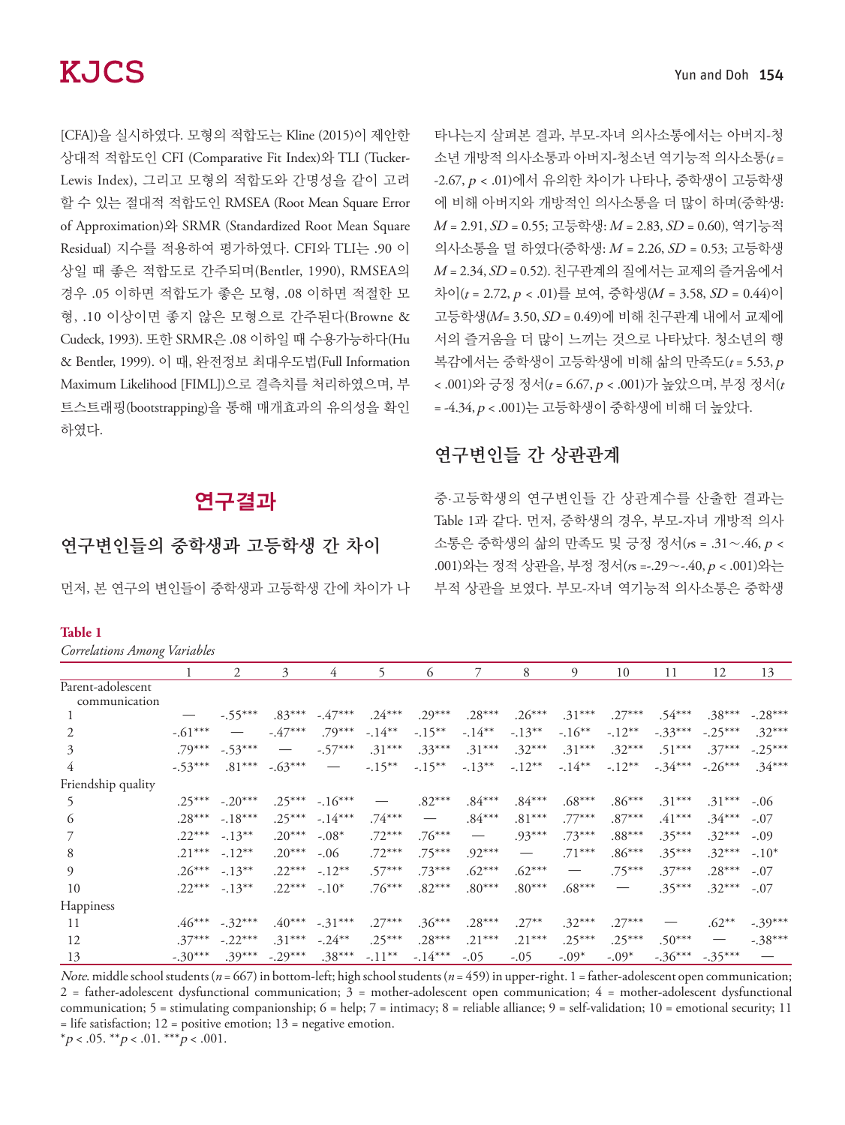[CFA])을 실시하였다. 모형의 적합도는 Kline (2015)이 제안한 상대적 적합도인 CFI (Comparative Fit Index)와 TLI (Tucker-Lewis Index), 그리고 모형의 적합도와 간명성을 같이 고려 할 수 있는 절대적 적합도인 RMSEA (Root Mean Square Error of Approximation)와 SRMR (Standardized Root Mean Square Residual) 지수를 적용하여 평가하였다. CFI와 TLI는 .90 이 상일 때 좋은 적합도로 간주되며(Bentler, 1990), RMSEA의 경우 .05 이하면 적합도가 좋은 모형, .08 이하면 적절한 모 형, .10 이상이면 좋지 않은 모형으로 간주된다(Browne & Cudeck, 1993). 또한 SRMR은 .08 이하일 때 수용가능하다(Hu & Bentler, 1999). 이 때, 완전정보 최대우도법(Full Information Maximum Likelihood [FIML])으로 결측치를 처리하였으며, 부 트스트래핑(bootstrapping)을 통해 매개효과의 유의성을 확인 하였다.

# 연구결과

## 연구변인들의 중학생과 고등학생 간 차이

먼저, 본 연구의 변인들이 중학생과 고등학생 간에 차이가 나

#### **Table 1**

*Correlations Among Variables*

| Correlations Among variables       |           |                                 |                                 |                                 |           |                                 |                                 |                                 |                   |                                 |           |                          |           |
|------------------------------------|-----------|---------------------------------|---------------------------------|---------------------------------|-----------|---------------------------------|---------------------------------|---------------------------------|-------------------|---------------------------------|-----------|--------------------------|-----------|
|                                    |           | $\mathfrak{D}$                  | 3                               | 4                               | 5         | 6                               |                                 | 8                               | $\Omega$          | 10                              | 11        | 12                       | 13        |
| Parent-adolescent<br>communication |           |                                 |                                 |                                 |           |                                 |                                 |                                 |                   |                                 |           |                          |           |
|                                    |           | $-.55***$                       | $.83***$                        | $-47***$                        | $.24***$  | $.29***$                        | $.28***$                        | $.26***$                        | $.31***$          | $.27***$                        | $.54***$  | $.38***$                 | $-.28***$ |
| 2                                  | $-.61***$ | $\hspace{0.1mm}-\hspace{0.1mm}$ | $-47***$                        | $.79***$                        | $-.14***$ | $-.15***$                       | $-.14***$                       | $-13***$                        | $-.16***$         | $-.12***$                       | $-.33***$ | $-.25***$                | $.32***$  |
| 3                                  | $.79***$  | $-.53***$                       | $\hspace{0.1mm}-\hspace{0.1mm}$ | $-.57***$                       | $.31***$  | $.33***$                        | $.31***$                        | $.32***$                        | $.31***$          | $.32***$                        | $.51***$  | $.37***$                 | $-.25***$ |
| 4                                  | $-.53***$ | $.81***$                        | $-.63***$                       | $\hspace{0.1mm}-\hspace{0.1mm}$ | $-.15***$ | $-15***$                        | $-.13***$                       | $-.12***$                       | $-.14***$         | $-.12***$                       | $-.34***$ | $-.26***$                | $.34***$  |
| Friendship quality                 |           |                                 |                                 |                                 |           |                                 |                                 |                                 |                   |                                 |           |                          |           |
| 5                                  | $.25***$  | $-.20***$                       | $.25***$                        | $-.16***$                       |           | $.82***$                        | $.84***$                        | $.84***$                        | $.68***$          | $.86***$                        | $.31***$  | $.31***$                 | $-.06$    |
| 6                                  | $.28***$  | $-.18***$                       | $.25***$                        | $-14***$                        | $.74***$  | $\hspace{0.1mm}-\hspace{0.1mm}$ | $.84***$                        | $.81***$                        | $.77***$          | $.87***$                        | $.41***$  | $.34***$                 | $-.07$    |
|                                    | $.22***$  | $-.13***$                       | $.20***$                        | $-.08*$                         | $.72***$  | $.76***$                        | $\hspace{0.1mm}-\hspace{0.1mm}$ | $.93***$                        | $.73***$          | $.88***$                        | $.35***$  | $.32***$                 | $-.09$    |
| 8                                  | $.21***$  | $-.12***$                       | $.20***$                        | $-.06$                          | $.72***$  | $.75***$                        | $.92***$                        | $\hspace{0.1mm}-\hspace{0.1mm}$ | $.71***$          | $.86***$                        | $.35***$  | $.32***$                 | $-.10*$   |
| 9                                  | $.26***$  | $-.13***$                       | $.22***$                        | $-.12***$                       | $.57***$  | $.73***$                        | $.62***$                        | $.62***$                        | $\hspace{0.05cm}$ | $.75***$                        | $.37***$  | $.28***$                 | $-.07$    |
| 10                                 | $.22***$  | $-.13***$                       | $.22***$                        | $-.10*$                         | $.76***$  | $.82***$                        | $.80***$                        | $.80***$                        | $.68***$          | $\hspace{0.1mm}-\hspace{0.1mm}$ | $.35***$  | $.32***$                 | $-.07$    |
| Happiness                          |           |                                 |                                 |                                 |           |                                 |                                 |                                 |                   |                                 |           |                          |           |
| 11                                 | $.46***$  | $-.32***$                       | $.40***$                        | $-.31***$                       | $.27***$  | $.36***$                        | $.28***$                        | $.27***$                        | $.32***$          | $.27***$                        |           | $.62***$                 | $-.39***$ |
| 12                                 | $.37***$  | $-.22***$                       | $.31***$                        | $-.24***$                       | $.25***$  | $.28***$                        | $.21***$                        | $.21***$                        | $.25***$          | $.25***$                        | $.50***$  | $\overline{\phantom{m}}$ | $-.38***$ |
| 13                                 | $-.30***$ | $.39***$                        | $-.29***$                       | $.38***$                        | $-.11***$ | $-.14***$                       | $-.05$                          | $-.05$                          | $-.09*$           | $-.09*$                         | $-.36***$ | $-.35***$                |           |

Yun and Doh 154

타나는지 살펴본 결과, 부모-자녀 의사소통에서는 아버지-청 소년 개방적 의사소통과 아버지-청소년 역기능적 의사소통(*t* = -2.67, p < .01)에서 유의한 차이가 나타나, 중학생이 고등학생 에 비해 아버지와 개방적인 의사소통을 더 많이 하며(중학생: <sup>M</sup> = 2.91, SD = 0.55; 고등학생: M = 2.83, SD = 0.60), 역기능적 의사소통을 덜 하였다(중학생: M = 2.26, SD = 0.53; 고등학생  $M = 2.34$ ,  $SD = 0.52$ ). 친구관계의 질에서는 교제의 즐거움에서 차이(*t* = 2.72, p < .01)를 보여, 중학생(M = 3.58, SD = 0.44)이 고등학생(M= 3.50, SD = 0.49)에 비해 친구관계 내에서 교제에 서의 즐거움을 더 많이 느끼는 것으로 나타났다. 청소년의 행 복감에서는 중학생이 고등학생에 비해 삶의 만족도(*t* = 5.53, <sup>p</sup> < .001)와 긍정 정서(*t* = 6.67, p < .001)가 높았으며, 부정 정서(*t*  $= -4.34, p < .001$ )는 고등학생이 중학생에 비해 더 높았다.

# 연구변인들 간 상관관계

중·고등학생의 연구변인들 간 상관계수를 산출한 결과는 Table 1과 같다. 먼저, 중학생의 경우, 부모-자녀 개방적 의사 소통은 중학생의 삶의 만족도 및 긍정 정서(*r*s = .31∼.46, p < .001)와는 정적 상관을, 부정 정서(*r*s =-.29∼-.40, p < .001)와는 부적 상관을 보였다. 부모-자녀 역기능적 의사소통은 중학생

Note. middle school students (*n* = 667) in bottom-left; high school students (*n* = 459) in upper-right. 1 = father-adolescent open communication;  $2 =$  father-adolescent dysfunctional communication;  $3 =$  mother-adolescent open communication;  $4 =$  mother-adolescent dysfunctional communication; 5 = stimulating companionship; 6 = help; 7 = intimacy; 8 = reliable alliance; 9 = self-validation; 10 = emotional security; 11  $=$  life satisfaction; 12 = positive emotion; 13 = negative emotion. \*p < .05. \*\*p < .01. \*\*\*p < .001.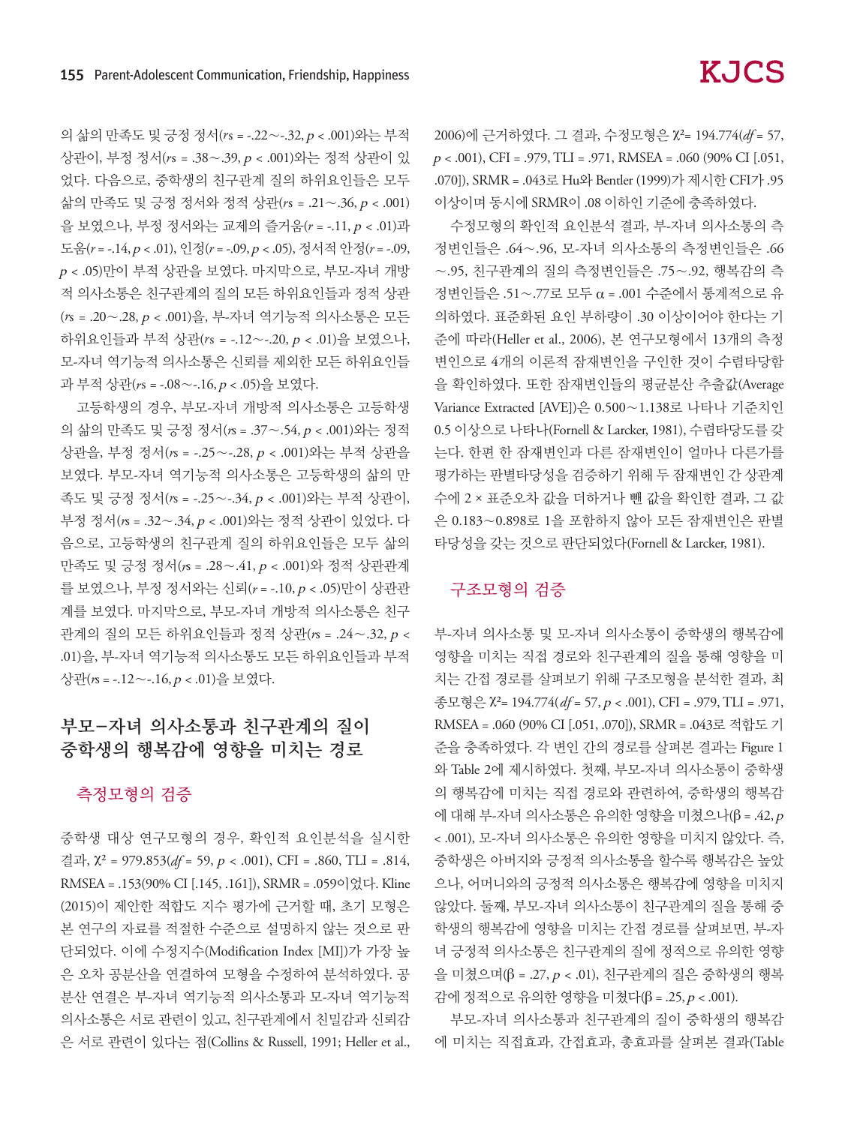의 삶의 만족도 및 긍정 정서(*r*s = -.22∼-.32, p < .001)와는 부적 상관이, 부정 정서(*r*s = .38∼.39, p < .001)와는 정적 상관이 있 었다. 다음으로, 중학생의 친구관계 질의 하위요인들은 모두 삶의 만족도 및 긍정 정서와 정적 상관(*r*s = .21∼.36, p < .001) 을 보였으나, 부정 정서와는 교제의 즐거움(*r* = -.11, p < .01)과 도움(*r* = -.14, p < .01), 인정(*r* = -.09, p < .05), 정서적 안정(*r* = -.09, <sup>p</sup> < .05)만이 부적 상관을 보였다. 마지막으로, 부모-자녀 개방 적 의사소통은 친구관계의 질의 모든 하위요인들과 정적 상관 (*r*s = .20∼.28, p < .001)을, 부-자녀 역기능적 의사소통은 모든 하위요인들과 부적 상관(*r*s = -.12∼-.20, p < .01)을 보였으나, 모-자녀 역기능적 의사소통은 신뢰를 제외한 모든 하위요인들 과 부적 상관(*r*s = -.08∼-.16, p < .05)을 보였다.

고등학생의 경우, 부모-자녀 개방적 의사소통은 고등학생 의 삶의 만족도 및 긍정 정서(*r*s = .37∼.54, p < .001)와는 정적 상관을, 부정 정서(*r*s = -.25∼-.28, p < .001)와는 부적 상관을 보였다. 부모-자녀 역기능적 의사소통은 고등학생의 삶의 만 족도 및 긍정 정서(*r*s = -.25∼-.34, p < .001)와는 부적 상관이, 부정 정서(*r*s = .32∼.34, p < .001)와는 정적 상관이 있었다. 다 음으로, 고등학생의 친구관계 질의 하위요인들은 모두 삶의 만족도 및 긍정 정서(*r*s = .28∼.41, p < .001)와 정적 상관관계 를 보였으나, 부정 정서와는 신뢰(*r* = -.10, p < .05)만이 상관관 계를 보였다. 마지막으로, 부모-자녀 개방적 의사소통은 친구 관계의 질의 모든 하위요인들과 정적 상관(*r*s = .24∼.32, p < .01)을, 부-자녀 역기능적 의사소통도 모든 하위요인들과 부적 상관(*r*s = -.12∼-.16, p < .01)을 보였다.

## 부모-자녀 의사소통과 친구관계의 질이 중학생의 행복감에 영향을 미치는 경로

#### 측정모형의 검증

중학생 대상 연구모형의 경우, 확인적 요인분석을 실시한 결과, χ² = 979.853(*df* = 59, p < .001), CFI = .860, TLI = .814, RMSEA = .153(90% CI [.145, .161]), SRMR = .059이었다. Kline (2015)이 제안한 적합도 지수 평가에 근거할 때, 초기 모형은 본 연구의 자료를 적절한 수준으로 설명하지 않는 것으로 판 단되었다. 이에 수정지수(Modification Index [MI])가 가장 높 은 오차 공분산을 연결하여 모형을 수정하여 분석하였다. 공 분산 연결은 부-자녀 역기능적 의사소통과 모-자녀 역기능적 의사소통은 서로 관련이 있고, 친구관계에서 친밀감과 신뢰감 은 서로 관련이 있다는 점(Collins & Russell, 1991; Heller et al., 2006)에 근거하였다. 그 결과, 수정모형은 χ²= 194.774(*df* = 57,  $p < .001$ ), CFI = .979, TLI = .971, RMSEA = .060 (90% CI [.051, .070]), SRMR = .043로 Hu와 Bentler (1999)가 제시한 CFI가 .95 이상이며 동시에 SRMR이 .08 이하인 기준에 충족하였다.

수정모형의 확인적 요인분석 결과, 부-자녀 의사소통의 측 정변인들은 .64∼.96, 모-자녀 의사소통의 측정변인들은 .66 ∼.95, 친구관계의 질의 측정변인들은 .75∼.92, 행복감의 측 정변인들은 .51∼.77로 모두 α = .001 수준에서 통계적으로 유 의하였다. 표준화된 요인 부하량이 .30 이상이어야 한다는 기 준에 따라(Heller et al., 2006), 본 연구모형에서 13개의 측정 변인으로 4개의 이론적 잠재변인을 구인한 것이 수렴타당함 을 확인하였다. 또한 잠재변인들의 평균분산 추출값(Average Variance Extracted [AVE])은 0.500∼1.138로 나타나 기준치인 0.5 이상으로 나타나(Fornell & Larcker, 1981), 수렴타당도를 갖 는다. 한편 한 잠재변인과 다른 잠재변인이 얼마나 다른가를 평가하는 판별타당성을 검증하기 위해 두 잠재변인 간 상관계 수에 2 × 표준오차 값을 더하거나 뺀 값을 확인한 결과, 그 값 은 0.183∼0.898로 1을 포함하지 않아 모든 잠재변인은 판별 타당성을 갖는 것으로 판단되었다(Fornell & Larcker, 1981).

### 구조모형의 검증

부-자녀 의사소통 및 모-자녀 의사소통이 중학생의 행복감에 영향을 미치는 직접 경로와 친구관계의 질을 통해 영향을 미 치는 간접 경로를 살펴보기 위해 구조모형을 분석한 결과, 최 종모형은 χ²= 194.774( *df* = 57, p < .001), CFI = .979, TLI = .971, RMSEA = .060 (90% CI [.051, .070]), SRMR = .043로 적합도 기 준을 충족하였다. 각 변인 간의 경로를 살펴본 결과는 Figure 1 와 Table 2에 제시하였다. 첫째, 부모-자녀 의사소통이 중학생 의 행복감에 미치는 직접 경로와 관련하여, 중학생의 행복감 에 대해 부-자녀 의사소통은 유의한 영향을 미쳤으나(β = .42, <sup>p</sup> < .001), 모-자녀 의사소통은 유의한 영향을 미치지 않았다. 즉, 중학생은 아버지와 긍정적 의사소통을 할수록 행복감은 높았 으나, 어머니와의 긍정적 의사소통은 행복감에 영향을 미치지 않았다. 둘째, 부모-자녀 의사소통이 친구관계의 질을 통해 중 학생의 행복감에 영향을 미치는 간접 경로를 살펴보면, 부-자 녀 긍정적 의사소통은 친구관계의 질에 정적으로 유의한 영향 을 미쳤으며(β = .27, p < .01), 친구관계의 질은 중학생의 행복 감에 정적으로 유의한 영향을 미쳤다(β = .25, p < .001).

부모-자녀 의사소통과 친구관계의 질이 중학생의 행복감 에 미치는 직접효과, 간접효과, 총효과를 살펴본 결과(Table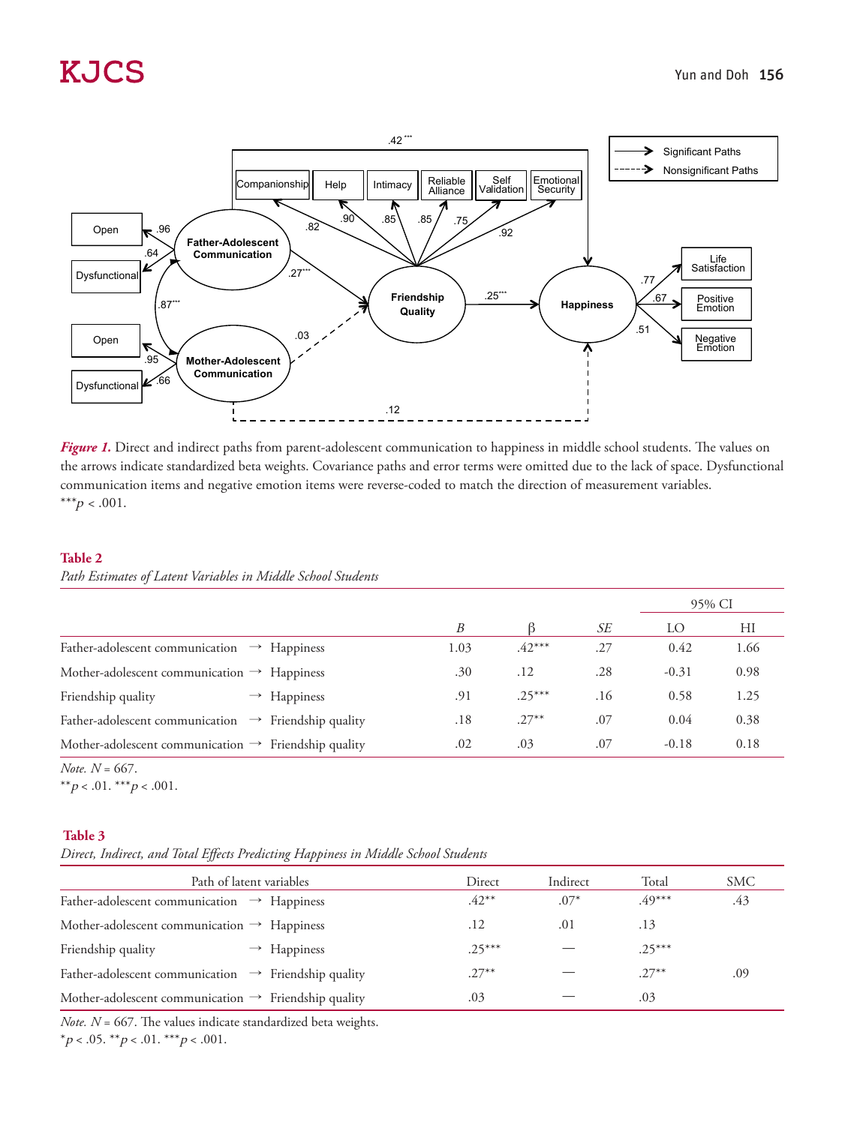

*Figure 1.* Direct and indirect paths from parent-adolescent communication to happiness in middle school students. The values on the arrows indicate standardized beta weights. Covariance paths and error terms were omitted due to the lack of space. Dysfunctional communication items and negative emotion items were reverse-coded to match the direction of measurement variables. \*\*\* $p < .001$ .

#### **Table 2**

*Path Estimates of Latent Variables in Middle School Students*

|                                                                  |      |          |     | 95% CI  |      |  |
|------------------------------------------------------------------|------|----------|-----|---------|------|--|
|                                                                  | B    |          | SЕ  | LO      | HI   |  |
| Father-adolescent communication<br>$\rightarrow$ Happiness       | 1.03 | $.42***$ | .27 | 0.42    | 1.66 |  |
| Mother-adolescent communication $\rightarrow$ Happiness          | .30  | .12      | .28 | $-0.31$ | 0.98 |  |
| Friendship quality<br>$\rightarrow$ Happiness                    | .91  | $.25***$ | .16 | 0.58    | 1.25 |  |
| Father-adolescent communication $\rightarrow$ Friendship quality | .18  | $.27***$ | .07 | 0.04    | 0.38 |  |
| Mother-adolescent communication $\rightarrow$ Friendship quality | .02  | .03      | .07 | $-0.18$ | 0.18 |  |

*Note. N* = 667.

\*\* $p < .01.$ \*\*\* $p < .001.$ 

#### **Table 3**

*Direct, Indirect, and Total Effects Predicting Happiness in Middle School Students*

| Path of latent variables                                         | Direct   | Indirect | Total    | SMC |
|------------------------------------------------------------------|----------|----------|----------|-----|
| Father-adolescent communication $\rightarrow$ Happiness          | $.42***$ | $.07*$   | $.49***$ | .43 |
| Mother-adolescent communication $\rightarrow$ Happiness          | .12      | .01      | .13      |     |
| Friendship quality<br>$\rightarrow$ Happiness                    | $.25***$ |          | $.25***$ |     |
| Father-adolescent communication $\rightarrow$ Friendship quality | $.27***$ |          | $.27***$ | .09 |
| Mother-adolescent communication $\rightarrow$ Friendship quality | .03      |          | .03      |     |

*Note. N* = 667. The values indicate standardized beta weights.

\*p < .05. \*\*p < .01. \*\*\*p < .001.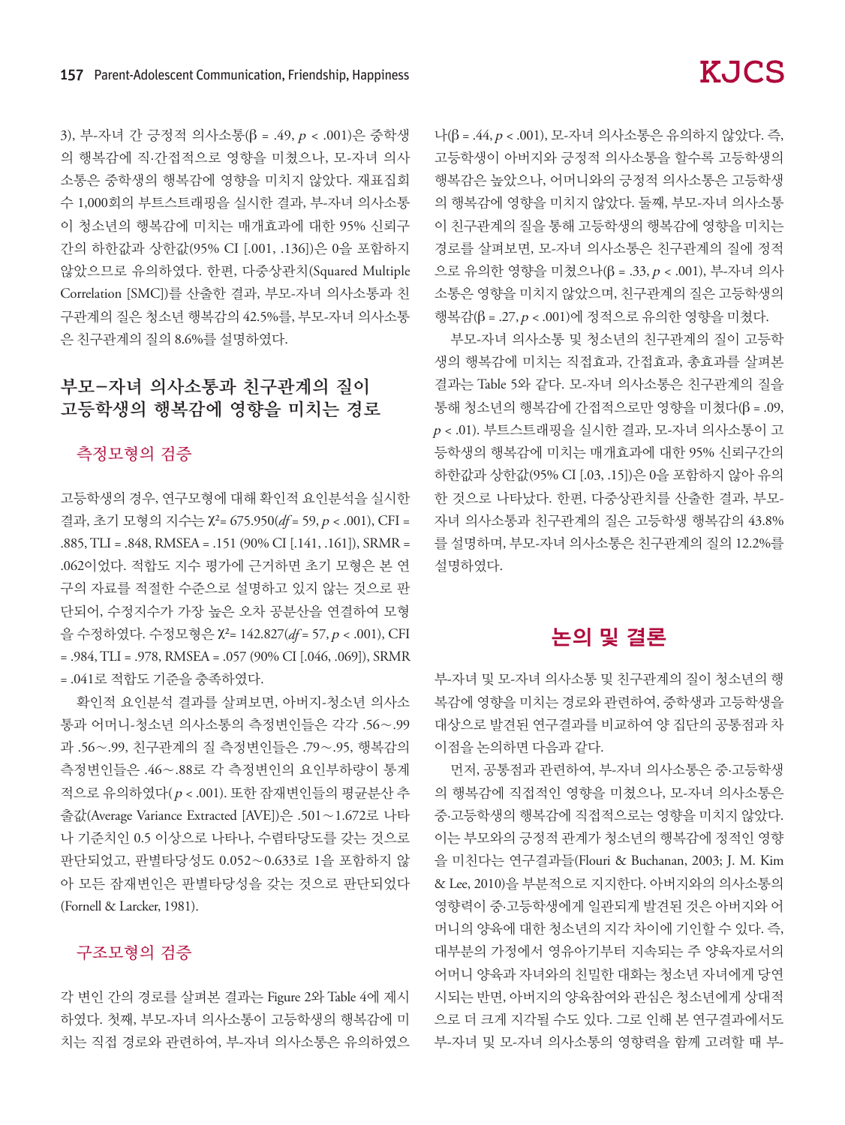3), 부-자녀 간 긍정적 의사소통(β = .49, p < .001)은 중학생 의 행복감에 직·간접적으로 영향을 미쳤으나, 모-자녀 의사 소통은 중학생의 행복감에 영향을 미치지 않았다. 재표집회 수 1,000회의 부트스트래핑을 실시한 결과, 부-자녀 의사소통 이 청소년의 행복감에 미치는 매개효과에 대한 95% 신뢰구 간의 하한값과 상한값(95% CI [.001, .136])은 0을 포함하지 않았으므로 유의하였다. 한편, 다중상관치(Squared Multiple Correlation [SMC])를 산출한 결과, 부모-자녀 의사소통과 친 구관계의 질은 청소년 행복감의 42.5%를, 부모-자녀 의사소통 은 친구관계의 질의 8.6%를 설명하였다.

# 부모-자녀 의사소통과 친구관계의 질이 고등학생의 행복감에 영향을 미치는 경로

#### 측정모형의 검증

고등학생의 경우, 연구모형에 대해 확인적 요인분석을 실시한 결과, 초기 모형의 지수는 χ²= 675.950(*df* = 59, p < .001), CFI = .885, TLI = .848, RMSEA = .151 (90% CI [.141, .161]), SRMR = .062이었다. 적합도 지수 평가에 근거하면 초기 모형은 본 연 구의 자료를 적절한 수준으로 설명하고 있지 않는 것으로 판 단되어, 수정지수가 가장 높은 오차 공분산을 연결하여 모형 을 수정하였다. 수정모형은 χ²= 142.827(*df* = 57, p < .001), CFI = .984, TLI = .978, RMSEA = .057 (90% CI [.046, .069]), SRMR = .041로 적합도 기준을 충족하였다.

확인적 요인분석 결과를 살펴보면, 아버지-청소년 의사소 통과 어머니-청소년 의사소통의 측정변인들은 각각 .56∼.99 과 .56∼.99, 친구관계의 질 측정변인들은 .79∼.95, 행복감의 측정변인들은 .46∼.88로 각 측정변인의 요인부하량이 통계 적으로 유의하였다( p < .001). 또한 잠재변인들의 평균분산 추 출값(Average Variance Extracted [AVE])은 .501∼1.672로 나타 나 기준치인 0.5 이상으로 나타나, 수렴타당도를 갖는 것으로 판단되었고, 판별타당성도 0.052∼0.633로 1을 포함하지 않 아 모든 잠재변인은 판별타당성을 갖는 것으로 판단되었다 (Fornell & Larcker, 1981).

#### 구조모형의 검증

각 변인 간의 경로를 살펴본 결과는 Figure 2와 Table 4에 제시 하였다. 첫째, 부모-자녀 의사소통이 고등학생의 행복감에 미 치는 직접 경로와 관련하여, 부-자녀 의사소통은 유의하였으 나(β = .44, p < .001), 모-자녀 의사소통은 유의하지 않았다. 즉, 고등학생이 아버지와 긍정적 의사소통을 할수록 고등학생의 행복감은 높았으나, 어머니와의 긍정적 의사소통은 고등학생 의 행복감에 영향을 미치지 않았다. 둘째, 부모-자녀 의사소통 이 친구관계의 질을 통해 고등학생의 행복감에 영향을 미치는 경로를 살펴보면, 모-자녀 의사소통은 친구관계의 질에 정적 으로 유의한 영향을 미쳤으나(β = .33, p < .001), 부-자녀 의사 소통은 영향을 미치지 않았으며, 친구관계의 질은 고등학생의 행복감(β = .27, p < .001)에 정적으로 유의한 영향을 미쳤다.

부모-자녀 의사소통 및 청소년의 친구관계의 질이 고등학 생의 행복감에 미치는 직접효과, 간접효과, 총효과를 살펴본 결과는 Table 5와 같다. 모-자녀 의사소통은 친구관계의 질을 통해 청소년의 행복감에 간접적으로만 영향을 미쳤다(β = .09, <sup>p</sup> < .01). 부트스트래핑을 실시한 결과, 모-자녀 의사소통이 고 등학생의 행복감에 미치는 매개효과에 대한 95% 신뢰구간의 하한값과 상한값(95% CI [.03, .15])은 0을 포함하지 않아 유의 한 것으로 나타났다. 한편, 다중상관치를 산출한 결과, 부모-자녀 의사소통과 친구관계의 질은 고등학생 행복감의 43.8% 를 설명하며, 부모-자녀 의사소통은 친구관계의 질의 12.2%를 설명하였다.

# 논의 및 결론

부-자녀 및 모-자녀 의사소통 및 친구관계의 질이 청소년의 행 복감에 영향을 미치는 경로와 관련하여, 중학생과 고등학생을 대상으로 발견된 연구결과를 비교하여 양 집단의 공통점과 차 이점을 논의하면 다음과 같다.

먼저, 공통점과 관련하여, 부-자녀 의사소통은 중·고등학생 의 행복감에 직접적인 영향을 미쳤으나, 모-자녀 의사소통은 중·고등학생의 행복감에 직접적으로는 영향을 미치지 않았다. 이는 부모와의 긍정적 관계가 청소년의 행복감에 정적인 영향 을 미친다는 연구결과들(Flouri & Buchanan, 2003; J. M. Kim & Lee, 2010)을 부분적으로 지지한다. 아버지와의 의사소통의 영향력이 중·고등학생에게 일관되게 발견된 것은 아버지와 어 머니의 양육에 대한 청소년의 지각 차이에 기인할 수 있다. 즉, 대부분의 가정에서 영유아기부터 지속되는 주 양육자로서의 어머니 양육과 자녀와의 친밀한 대화는 청소년 자녀에게 당연 시되는 반면, 아버지의 양육참여와 관심은 청소년에게 상대적 으로 더 크게 지각될 수도 있다. 그로 인해 본 연구결과에서도 부-자녀 및 모-자녀 의사소통의 영향력을 함께 고려할 때 부-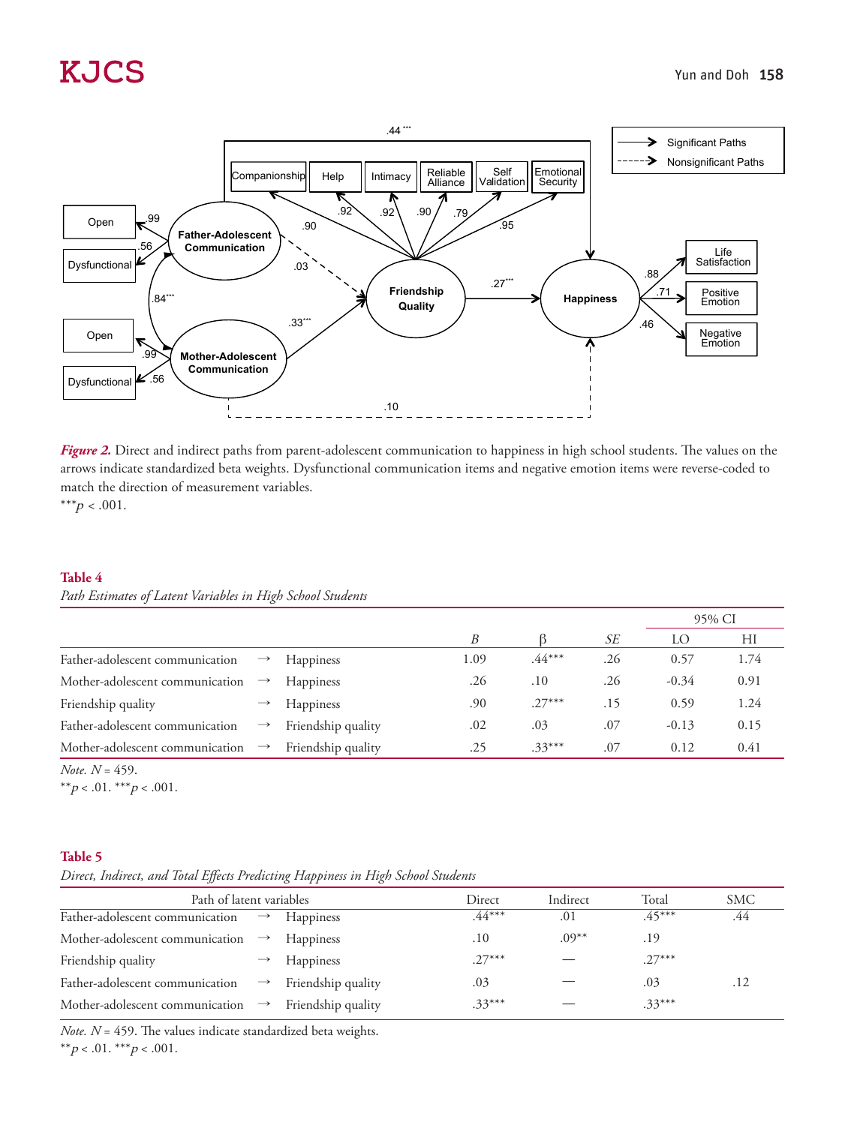

*Figure 2.* Direct and indirect paths from parent-adolescent communication to happiness in high school students. The values on the arrows indicate standardized beta weights. Dysfunctional communication items and negative emotion items were reverse-coded to match the direction of measurement variables. \*\*\* $p < .001$ .

**Table 4**

*Path Estimates of Latent Variables in High School Students*

|                                 |               |                    |      |          |     |         | 95% CI |
|---------------------------------|---------------|--------------------|------|----------|-----|---------|--------|
|                                 |               |                    | B    |          | SЕ  | LO      | HI     |
| Father-adolescent communication | $\rightarrow$ | <b>Happiness</b>   | 1.09 | $.44***$ | .26 | 0.57    | 1.74   |
| Mother-adolescent communication | $\rightarrow$ | <b>Happiness</b>   | .26  | .10      | .26 | $-0.34$ | 0.91   |
| Friendship quality              |               | Happiness          | .90  | $.27***$ | .15 | 0.59    | 1.24   |
| Father-adolescent communication | $\rightarrow$ | Friendship quality | .02  | .03      | .07 | $-0.13$ | 0.15   |
| Mother-adolescent communication | $\rightarrow$ | Friendship quality | .25  | $.33***$ | .07 | 0.12    | 0.41   |

*Note. N* = 459.

\*\* $p < .01.$ \*\*\* $p < .001.$ 

#### **Table 5**

*Direct, Indirect, and Total Effects Predicting Happiness in High School Students* 

| Path of latent variables                      |               |                    | Direct   | Indirect | Total    | <b>SMC</b> |
|-----------------------------------------------|---------------|--------------------|----------|----------|----------|------------|
| Father-adolescent communication               | $\rightarrow$ | <b>Happiness</b>   | $44***$  | .01      | $.45***$ | .44        |
| Mother-adolescent communication $\rightarrow$ |               | <b>Happiness</b>   | .10      | $.09***$ | .19      |            |
| Friendship quality                            |               | <b>Happiness</b>   | $.27***$ |          | $.27***$ |            |
| Father-adolescent communication               | $\rightarrow$ | Friendship quality | .03      |          | .03      | .12        |
| Mother-adolescent communication $\rightarrow$ |               | Friendship quality | $.33***$ |          | $.33***$ |            |

*Note. N* = 459. The values indicate standardized beta weights.

\*\* $p < .01.$  \*\*\* $p < .001.$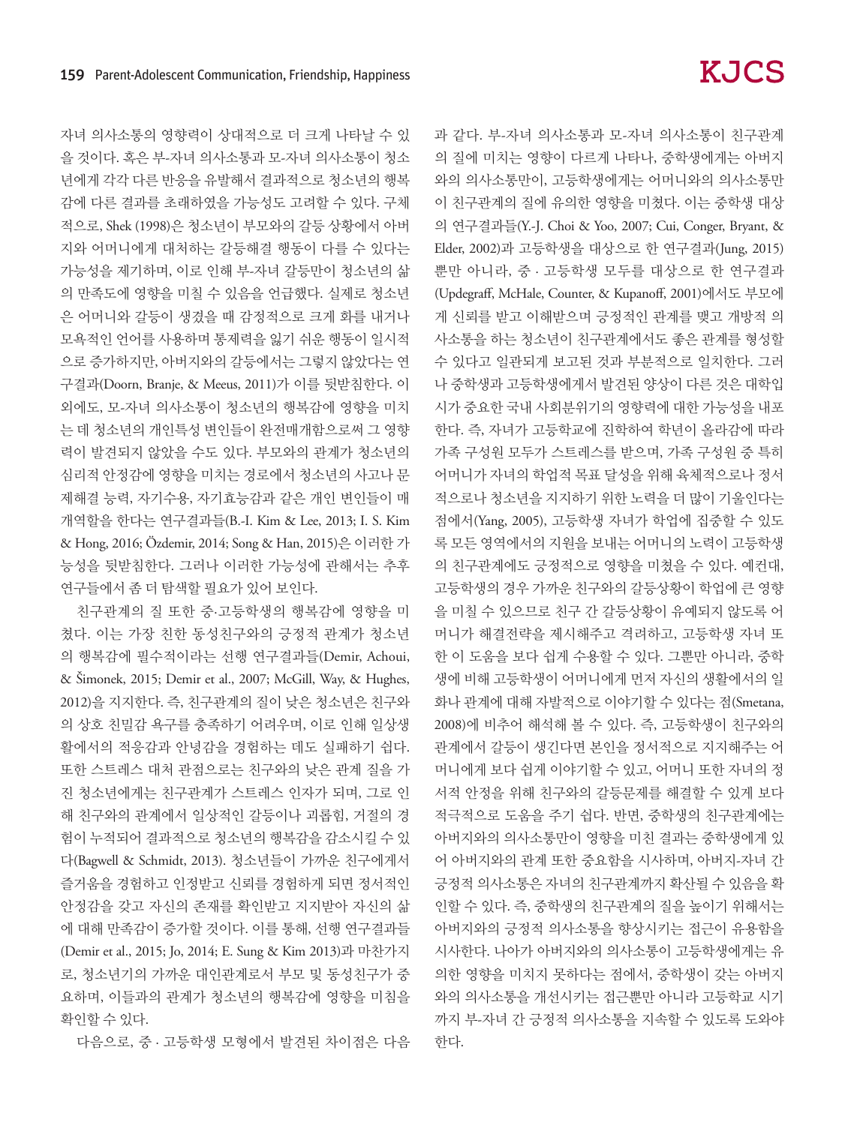자녀 의사소통의 영향력이 상대적으로 더 크게 나타날 수 있 을 것이다. 혹은 부-자녀 의사소통과 모-자녀 의사소통이 청소 년에게 각각 다른 반응을 유발해서 결과적으로 청소년의 행복 감에 다른 결과를 초래하였을 가능성도 고려할 수 있다. 구체 적으로, Shek (1998)은 청소년이 부모와의 갈등 상황에서 아버 지와 어머니에게 대처하는 갈등해결 행동이 다를 수 있다는 가능성을 제기하며, 이로 인해 부-자녀 갈등만이 청소년의 삶 의 만족도에 영향을 미칠 수 있음을 언급했다. 실제로 청소년 은 어머니와 갈등이 생겼을 때 감정적으로 크게 화를 내거나 모욕적인 언어를 사용하며 통제력을 잃기 쉬운 행동이 일시적 으로 증가하지만, 아버지와의 갈등에서는 그렇지 않았다는 연 구결과(Doorn, Branje, & Meeus, 2011)가 이를 뒷받침한다. 이 외에도, 모-자녀 의사소통이 청소년의 행복감에 영향을 미치 는 데 청소년의 개인특성 변인들이 완전매개함으로써 그 영향 력이 발견되지 않았을 수도 있다. 부모와의 관계가 청소년의 심리적 안정감에 영향을 미치는 경로에서 청소년의 사고나 문 제해결 능력, 자기수용, 자기효능감과 같은 개인 변인들이 매 개역할을 한다는 연구결과들(B.-I. Kim & Lee, 2013; I. S. Kim & Hong, 2016; Özdemir, 2014; Song & Han, 2015)은 이러한 가 능성을 뒷받침한다. 그러나 이러한 가능성에 관해서는 추후 연구들에서 좀 더 탐색할 필요가 있어 보인다.

친구관계의 질 또한 중·고등학생의 행복감에 영향을 미 쳤다. 이는 가장 친한 동성친구와의 긍정적 관계가 청소년 의 행복감에 필수적이라는 선행 연구결과들(Demir, Achoui, & Šimonek, 2015; Demir et al., 2007; McGill, Way, & Hughes, 2012)을 지지한다. 즉, 친구관계의 질이 낮은 청소년은 친구와 의 상호 친밀감 욕구를 충족하기 어려우며, 이로 인해 일상생 활에서의 적응감과 안녕감을 경험하는 데도 실패하기 쉽다. 또한 스트레스 대처 관점으로는 친구와의 낮은 관계 질을 가 진 청소년에게는 친구관계가 스트레스 인자가 되며, 그로 인 해 친구와의 관계에서 일상적인 갈등이나 괴롭힘, 거절의 경 험이 누적되어 결과적으로 청소년의 행복감을 감소시킬 수 있 다(Bagwell & Schmidt, 2013). 청소년들이 가까운 친구에게서 즐거움을 경험하고 인정받고 신뢰를 경험하게 되면 정서적인 안정감을 갖고 자신의 존재를 확인받고 지지받아 자신의 삶 에 대해 만족감이 증가할 것이다. 이를 통해, 선행 연구결과들 (Demir et al., 2015; Jo, 2014; E. Sung & Kim 2013)과 마찬가지 로, 청소년기의 가까운 대인관계로서 부모 및 동성친구가 중 요하며, 이들과의 관계가 청소년의 행복감에 영향을 미침을 확인할 수 있다.

다음으로, 중 · 고등학생 모형에서 발견된 차이점은 다음

과 같다. 부-자녀 의사소통과 모-자녀 의사소통이 친구관계 의 질에 미치는 영향이 다르게 나타나, 중학생에게는 아버지 와의 의사소통만이, 고등학생에게는 어머니와의 의사소통만 이 친구관계의 질에 유의한 영향을 미쳤다. 이는 중학생 대상 의 연구결과들(Y.-J. Choi & Yoo, 2007; Cui, Conger, Bryant, & Elder, 2002)과 고등학생을 대상으로 한 연구결과(Jung, 2015) 뿐만 아니라, 중 · 고등학생 모두를 대상으로 한 연구결과 (Updegraff, McHale, Counter, & Kupanoff, 2001)에서도 부모에 게 신뢰를 받고 이해받으며 긍정적인 관계를 맺고 개방적 의 사소통을 하는 청소년이 친구관계에서도 좋은 관계를 형성할 수 있다고 일관되게 보고된 것과 부분적으로 일치한다. 그러 나 중학생과 고등학생에게서 발견된 양상이 다른 것은 대학입 시가 중요한 국내 사회분위기의 영향력에 대한 가능성을 내포 한다. 즉, 자녀가 고등학교에 진학하여 학년이 올라감에 따라 가족 구성원 모두가 스트레스를 받으며, 가족 구성원 중 특히 어머니가 자녀의 학업적 목표 달성을 위해 육체적으로나 정서 적으로나 청소년을 지지하기 위한 노력을 더 많이 기울인다는 점에서(Yang, 2005), 고등학생 자녀가 학업에 집중할 수 있도 록 모든 영역에서의 지원을 보내는 어머니의 노력이 고등학생 의 친구관계에도 긍정적으로 영향을 미쳤을 수 있다. 예컨대, 고등학생의 경우 가까운 친구와의 갈등상황이 학업에 큰 영향 을 미칠 수 있으므로 친구 간 갈등상황이 유예되지 않도록 어 머니가 해결전략을 제시해주고 격려하고, 고등학생 자녀 또 한 이 도움을 보다 쉽게 수용할 수 있다. 그뿐만 아니라, 중학 생에 비해 고등학생이 어머니에게 먼저 자신의 생활에서의 일 화나 관계에 대해 자발적으로 이야기할 수 있다는 점(Smetana, 2008)에 비추어 해석해 볼 수 있다. 즉, 고등학생이 친구와의 관계에서 갈등이 생긴다면 본인을 정서적으로 지지해주는 어 머니에게 보다 쉽게 이야기할 수 있고, 어머니 또한 자녀의 정 서적 안정을 위해 친구와의 갈등문제를 해결할 수 있게 보다 적극적으로 도움을 주기 쉽다. 반면, 중학생의 친구관계에는 아버지와의 의사소통만이 영향을 미친 결과는 중학생에게 있 어 아버지와의 관계 또한 중요함을 시사하며, 아버지-자녀 간 긍정적 의사소통은 자녀의 친구관계까지 확산될 수 있음을 확 인할 수 있다. 즉, 중학생의 친구관계의 질을 높이기 위해서는 아버지와의 긍정적 의사소통을 향상시키는 접근이 유용함을 시사한다. 나아가 아버지와의 의사소통이 고등학생에게는 유 의한 영향을 미치지 못하다는 점에서, 중학생이 갖는 아버지 와의 의사소통을 개선시키는 접근뿐만 아니라 고등학교 시기 까지 부-자녀 간 긍정적 의사소통을 지속할 수 있도록 도와야 한다.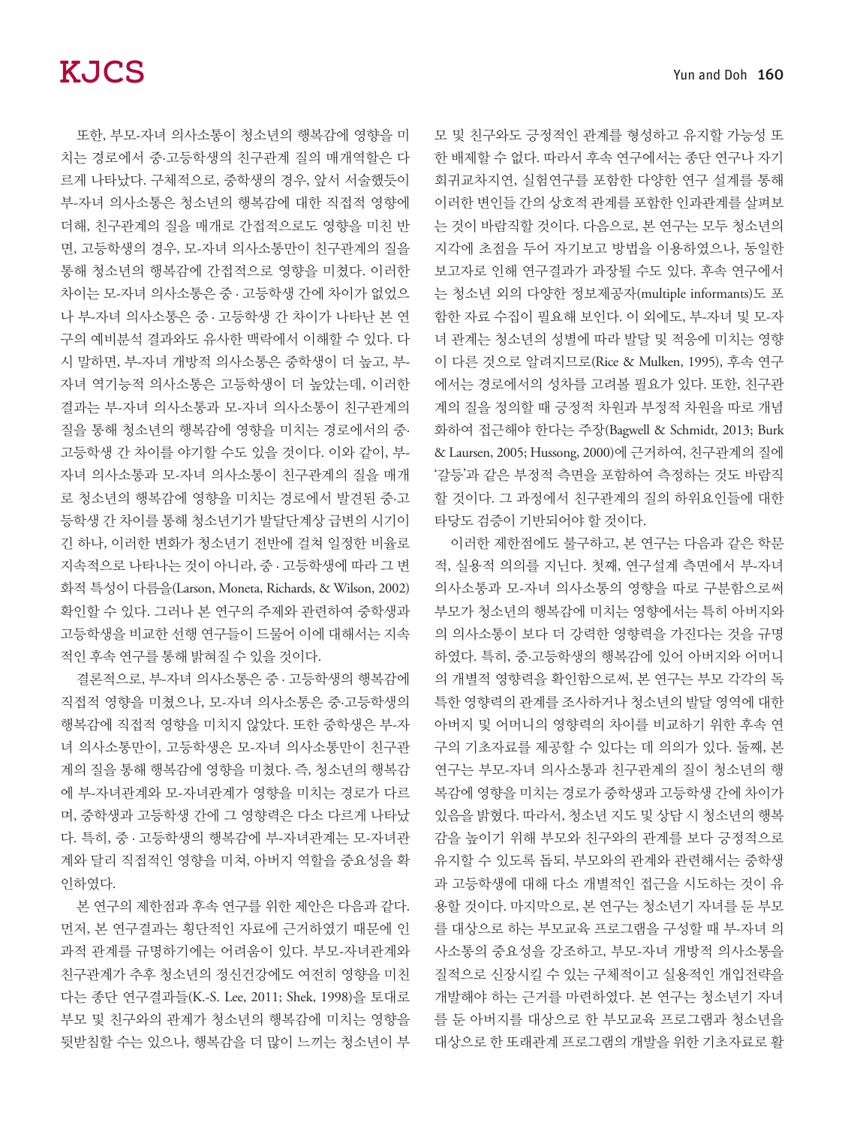또한, 부모-자녀 의사소통이 청소년의 행복감에 영향을 미 치는 경로에서 중·고등학생의 친구관계 질의 매개역할은 다 르게 나타났다. 구체적으로, 중학생의 경우, 앞서 서술했듯이 부-자녀 의사소통은 청소년의 행복감에 대한 직접적 영향에 더해, 친구관계의 질을 매개로 간접적으로도 영향을 미친 반 면, 고등학생의 경우, 모-자녀 의사소통만이 친구관계의 질을 통해 청소년의 행복감에 간접적으로 영향을 미쳤다. 이러한 차이는 모-자녀 의사소통은 중 · 고등학생 간에 차이가 없었으 나 부-자녀 의사소통은 중 · 고등학생 간 차이가 나타난 본 연 구의 예비분석 결과와도 유사한 맥락에서 이해할 수 있다. 다 시 말하면, 부-자녀 개방적 의사소통은 중학생이 더 높고, 부-자녀 역기능적 의사소통은 고등학생이 더 높았는데, 이러한 결과는 부-자녀 의사소통과 모-자녀 의사소통이 친구관계의 질을 통해 청소년의 행복감에 영향을 미치는 경로에서의 중· 고등학생 간 차이를 야기할 수도 있을 것이다. 이와 같이, 부-자녀 의사소통과 모-자녀 의사소통이 친구관계의 질을 매개 로 청소년의 행복감에 영향을 미치는 경로에서 발견된 중·고 등학생 간 차이를 통해 청소년기가 발달단계상 급변의 시기이 긴 하나, 이러한 변화가 청소년기 전반에 걸쳐 일정한 비율로 지속적으로 나타나는 것이 아니라, 중 · 고등학생에 따라 그 변 화적 특성이 다름을(Larson, Moneta, Richards, & Wilson, 2002) 확인할 수 있다. 그러나 본 연구의 주제와 관련하여 중학생과 고등학생을 비교한 선행 연구들이 드물어 이에 대해서는 지속 적인 후속 연구를 통해 밝혀질 수 있을 것이다.

결론적으로, 부-자녀 의사소통은 중 · 고등학생의 행복감에 직접적 영향을 미쳤으나, 모-자녀 의사소통은 중·고등학생의 행복감에 직접적 영향을 미치지 않았다. 또한 중학생은 부-자 녀 의사소통만이, 고등학생은 모-자녀 의사소통만이 친구관 계의 질을 통해 행복감에 영향을 미쳤다. 즉, 청소년의 행복감 에 부-자녀관계와 모-자녀관계가 영향을 미치는 경로가 다르 며, 중학생과 고등학생 간에 그 영향력은 다소 다르게 나타났 다. 특히, 중 · 고등학생의 행복감에 부-자녀관계는 모-자녀관 계와 달리 직접적인 영향을 미쳐, 아버지 역할을 중요성을 확 인하였다.

본 연구의 제한점과 후속 연구를 위한 제안은 다음과 같다. 먼저, 본 연구결과는 횡단적인 자료에 근거하였기 때문에 인 과적 관계를 규명하기에는 어려움이 있다. 부모-자녀관계와 친구관계가 추후 청소년의 정신건강에도 여전히 영향을 미친 다는 종단 연구결과들(K.-S. Lee, 2011; Shek, 1998)을 토대로 부모 및 친구와의 관계가 청소년의 행복감에 미치는 영향을 뒷받침할 수는 있으나, 행복감을 더 많이 느끼는 청소년이 부 모 및 친구와도 긍정적인 관계를 형성하고 유지할 가능성 또 한 배제할 수 없다. 따라서 후속 연구에서는 종단 연구나 자기 회귀교차지연, 실험연구를 포함한 다양한 연구 설계를 통해 이러한 변인들 간의 상호적 관계를 포함한 인과관계를 살펴보 는 것이 바람직할 것이다. 다음으로, 본 연구는 모두 청소년의 지각에 초점을 두어 자기보고 방법을 이용하였으나, 동일한 보고자로 인해 연구결과가 과장될 수도 있다. 후속 연구에서 는 청소년 외의 다양한 정보제공자(multiple informants)도 포 함한 자료 수집이 필요해 보인다. 이 외에도, 부-자녀 및 모-자 녀 관계는 청소년의 성별에 따라 발달 및 적응에 미치는 영향 이 다른 것으로 알려지므로(Rice & Mulken, 1995), 후속 연구 에서는 경로에서의 성차를 고려볼 필요가 있다. 또한, 친구관 계의 질을 정의할 때 긍정적 차원과 부정적 차원을 따로 개념 화하여 접근해야 한다는 주장(Bagwell & Schmidt, 2013; Burk & Laursen, 2005; Hussong, 2000)에 근거하여, 친구관계의 질에 '갈등'과 같은 부정적 측면을 포함하여 측정하는 것도 바람직 할 것이다. 그 과정에서 친구관계의 질의 하위요인들에 대한 타당도 검증이 기반되어야 할 것이다.

이러한 제한점에도 불구하고, 본 연구는 다음과 같은 학문 적, 실용적 의의를 지닌다. 첫째, 연구설계 측면에서 부-자녀 의사소통과 모-자녀 의사소통의 영향을 따로 구분함으로써 부모가 청소년의 행복감에 미치는 영향에서는 특히 아버지와 의 의사소통이 보다 더 강력한 영향력을 가진다는 것을 규명 하였다. 특히, 중·고등학생의 행복감에 있어 아버지와 어머니 의 개별적 영향력을 확인함으로써, 본 연구는 부모 각각의 독 특한 영향력의 관계를 조사하거나 청소년의 발달 영역에 대한 아버지 및 어머니의 영향력의 차이를 비교하기 위한 후속 연 구의 기초자료를 제공할 수 있다는 데 의의가 있다. 둘째, 본 연구는 부모-자녀 의사소통과 친구관계의 질이 청소년의 행 복감에 영향을 미치는 경로가 중학생과 고등학생 간에 차이가 있음을 밝혔다. 따라서, 청소년 지도 및 상담 시 청소년의 행복 감을 높이기 위해 부모와 친구와의 관계를 보다 긍정적으로 유지할 수 있도록 돕되, 부모와의 관계와 관련해서는 중학생 과 고등학생에 대해 다소 개별적인 접근을 시도하는 것이 유 용할 것이다. 마지막으로, 본 연구는 청소년기 자녀를 둔 부모 를 대상으로 하는 부모교육 프로그램을 구성할 때 부-자녀 의 사소통의 중요성을 강조하고, 부모-자녀 개방적 의사소통을 질적으로 신장시킬 수 있는 구체적이고 실용적인 개입전략을 개발해야 하는 근거를 마련하였다. 본 연구는 청소년기 자녀 를 둔 아버지를 대상으로 한 부모교육 프로그램과 청소년을 대상으로 한 또래관계 프로그램의 개발을 위한 기초자료로 활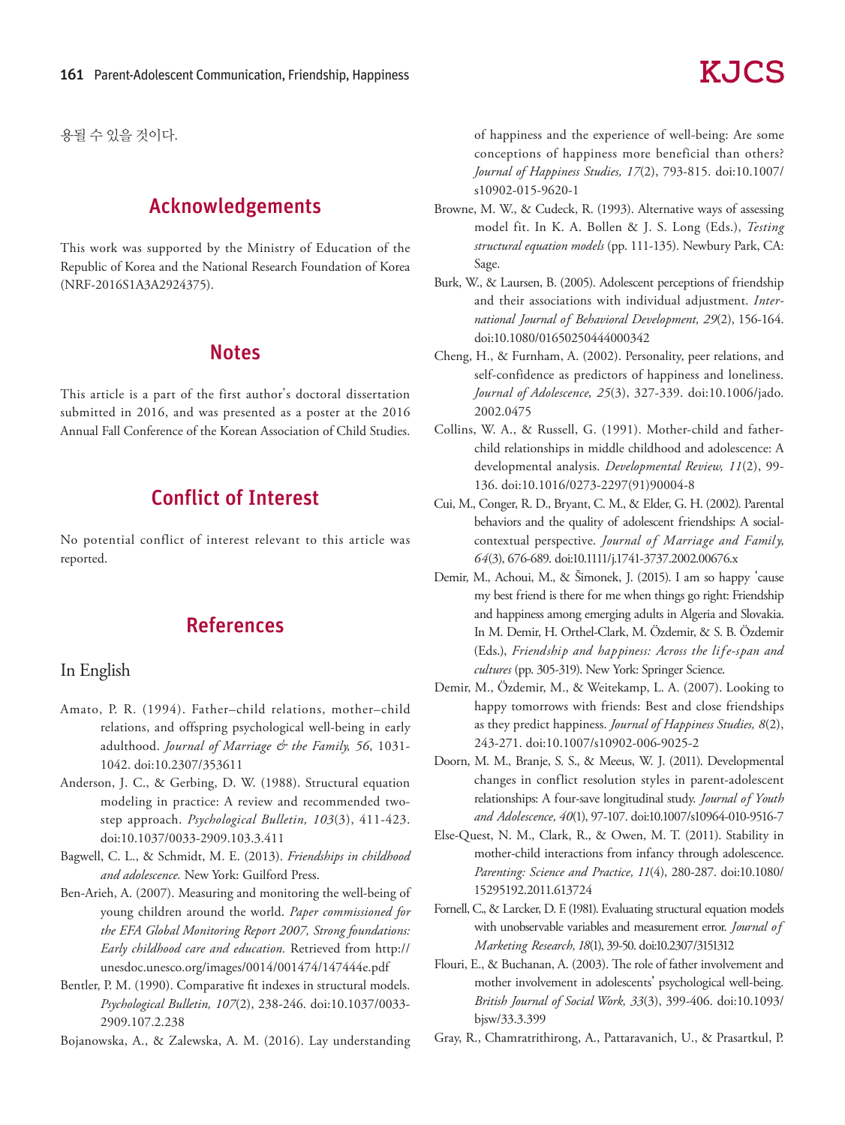용될 수 있을 것이다.

# Acknowledgements

This work was supported by the Ministry of Education of the Republic of Korea and the National Research Foundation of Korea (NRF-2016S1A3A2924375).

### **Notes**

This article is a part of the first author's doctoral dissertation submitted in 2016, and was presented as a poster at the 2016 Annual Fall Conference of the Korean Association of Child Studies.

# Conflict of Interest

No potential conflict of interest relevant to this article was reported.

# References

#### In English

- Amato, P. R. (1994). Father–child relations, mother–child relations, and offspring psychological well-being in early adulthood. *Journal of Marriage & the Family, 56*, 1031- 1042. doi:10.2307/353611
- Anderson, J. C., & Gerbing, D. W. (1988). Structural equation modeling in practice: A review and recommended twostep approach. *Psychological Bulletin, 103*(3), 411-423. doi:10.1037/0033-2909.103.3.411
- Bagwell, C. L., & Schmidt, M. E. (2013). *Friendships in childhood and adolescence.* New York: Guilford Press.
- Ben-Arieh, A. (2007). Measuring and monitoring the well-being of young children around the world. *Paper commissioned for the EFA Global Monitoring Report 2007, Strong foundations: Early childhood care and education.* Retrieved from http:// unesdoc.unesco.org/images/0014/001474/147444e.pdf
- Bentler, P. M. (1990). Comparative fit indexes in structural models. *Psychological Bulletin, 107*(2), 238-246. doi:10.1037/0033- 2909.107.2.238

Bojanowska, A., & Zalewska, A. M. (2016). Lay understanding

of happiness and the experience of well-being: Are some conceptions of happiness more beneficial than others? *Journal of Happiness Studies, 17*(2), 793-815. doi:10.1007/ s10902-015-9620-1

- Browne, M. W., & Cudeck, R. (1993). Alternative ways of assessing model fit. In K. A. Bollen & J. S. Long (Eds.), *Testing structural equation models* (pp. 111-135). Newbury Park, CA: Sage.
- Burk, W., & Laursen, B. (2005). Adolescent perceptions of friendship and their associations with individual adjustment. *International Journal of Behavioral Development, 29*(2), 156-164. doi:10.1080/01650250444000342
- Cheng, H., & Furnham, A. (2002). Personality, peer relations, and self-confidence as predictors of happiness and loneliness. *Journal of Adolescence, 25*(3), 327-339. doi:10.1006/jado. 2002.0475
- Collins, W. A., & Russell, G. (1991). Mother-child and fatherchild relationships in middle childhood and adolescence: A developmental analysis. *Developmental Review, 11*(2), 99- 136. doi:10.1016/0273-2297(91)90004-8
- Cui, M., Conger, R. D., Bryant, C. M., & Elder, G. H. (2002). Parental behaviors and the quality of adolescent friendships: A socialcontextual perspective. *Journal of Marriage and Famil y, 64*(3), 676-689. doi:10.1111/j.1741-3737.2002.00676.x
- Demir, M., Achoui, M., & Šimonek, J. (2015). I am so happy 'cause my best friend is there for me when things go right: Friendship and happiness among emerging adults in Algeria and Slovakia. In M. Demir, H. Orthel-Clark, M. Özdemir, & S. B. Özdemir (Eds.), Friendship and happiness: Across the life-span and *cultures* (pp. 305-319). New York: Springer Science.
- Demir, M., Özdemir, M., & Weitekamp, L. A. (2007). Looking to happy tomorrows with friends: Best and close friendships as they predict happiness. *Journal of Happiness Studies, 8*(2), 243-271. doi:10.1007/s10902-006-9025-2
- Doorn, M. M., Branje, S. S., & Meeus, W. J. (2011). Developmental changes in conflict resolution styles in parent-adolescent relationships: A four-save longitudinal study. *Journal of Youth and Adolescence, 40*(1), 97-107. doi:10.1007/s10964-010-9516-7
- Else-Quest, N. M., Clark, R., & Owen, M. T. (2011). Stability in mother-child interactions from infancy through adolescence. *Parenting: Science and Practice, 11*(4), 280-287. doi:10.1080/ 15295192.2011.613724
- Fornell, C., & Larcker, D. F. (1981). Evaluating structural equation models with unobservable variables and measurement error. *Journal of Marketing Research, 18*(1), 39-50. doi:10.2307/3151312
- Flouri, E., & Buchanan, A. (2003). The role of father involvement and mother involvement in adolescents' psychological well-being. *British Journal of Social Work, 33*(3), 399-406. doi:10.1093/ bjsw/33.3.399
- Gray, R., Chamratrithirong, A., Pattaravanich, U., & Prasartkul, P.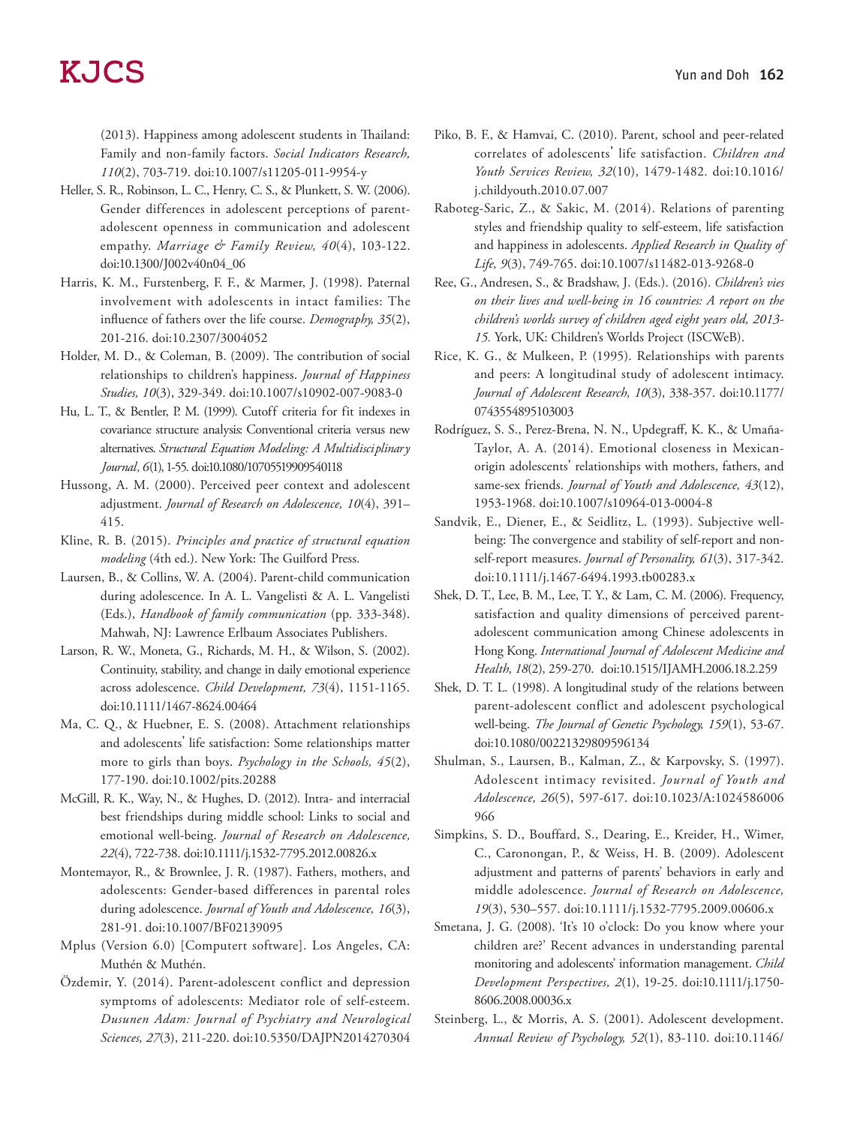(2013). Happiness among adolescent students in Thailand: Family and non-family factors. *Social Indicators Research, 110*(2), 703-719. doi:10.1007/s11205-011-9954-y

- Heller, S. R., Robinson, L. C., Henry, C. S., & Plunkett, S. W. (2006). Gender differences in adolescent perceptions of parentadolescent openness in communication and adolescent empathy. *Marriage & Family Review, 40*(4), 103-122. doi:10.1300/J002v40n04\_06
- Harris, K. M., Furstenberg, F. F., & Marmer, J. (1998). Paternal involvement with adolescents in intact families: The influence of fathers over the life course. *Demography, 35*(2), 201-216. doi:10.2307/3004052
- Holder, M. D., & Coleman, B. (2009). The contribution of social relationships to children's happiness. *Journal of Happiness Studies, 10*(3), 329-349. doi:10.1007/s10902-007-9083-0
- Hu, L. T., & Bentler, P. M. (1999). Cutoff criteria for fit indexes in covariance structure analysis: Conventional criteria versus new alternatives. *Structural Equation Modeling: A Multidisciplinary Journal, 6*(1), 1-55. doi:10.1080/10705519909540118
- Hussong, A. M. (2000). Perceived peer context and adolescent adjustment. *Journal of Research on Adolescence, 10*(4), 391– 415.
- Kline, R. B. (2015). *Principles and practice of structural equation modeling* (4th ed.). New York: The Guilford Press.
- Laursen, B., & Collins, W. A. (2004). Parent-child communication during adolescence. In A. L. Vangelisti & A. L. Vangelisti (Eds.), *Handbook of family communication* (pp. 333-348). Mahwah, NJ: Lawrence Erlbaum Associates Publishers.
- Larson, R. W., Moneta, G., Richards, M. H., & Wilson, S. (2002). Continuity, stability, and change in daily emotional experience across adolescence. *Child Development, 73*(4), 1151-1165. doi:10.1111/1467-8624.00464
- Ma, C. Q., & Huebner, E. S. (2008). Attachment relationships and adolescents' life satisfaction: Some relationships matter more to girls than boys. *Psychology in the Schools, 45*(2), 177-190. doi:10.1002/pits.20288
- McGill, R. K., Way, N., & Hughes, D. (2012). Intra- and interracial best friendships during middle school: Links to social and emotional well-being. *Journal of Research on Adolescence, 22*(4), 722-738. doi:10.1111/j.1532-7795.2012.00826.x
- Montemayor, R., & Brownlee, J. R. (1987). Fathers, mothers, and adolescents: Gender-based differences in parental roles during adolescence. *Journal of Youth and Adolescence, 16*(3), 281-91. doi:10.1007/BF02139095
- Mplus (Version 6.0) [Computert software]. Los Angeles, CA: Muthén & Muthén.
- Özdemir, Y. (2014). Parent-adolescent conflict and depression symptoms of adolescents: Mediator role of self-esteem. *Dusunen Adam: Journal of Psychiatry and Neurological Sciences, 27*(3), 211-220. doi:10.5350/DAJPN2014270304
- Piko, B. F., & Hamvai, C. (2010). Parent, school and peer-related correlates of adolescents' life satisfaction. *Children and Youth Services Review, 32*(10), 1479-1482. doi:10.1016/ j.childyouth.2010.07.007
- Raboteg-Saric, Z., & Sakic, M. (2014). Relations of parenting styles and friendship quality to self-esteem, life satisfaction and happiness in adolescents. *Applied Research in Quality of Life, 9*(3), 749-765. doi:10.1007/s11482-013-9268-0
- Ree, G., Andresen, S., & Bradshaw, J. (Eds.). (2016). *Children's vies on their lives and well-being in 16 countries: A report on the children's worlds survey of children aged eight years old, 2013- 15.* York, UK: Children's Worlds Project (ISCWeB).
- Rice, K. G., & Mulkeen, P. (1995). Relationships with parents and peers: A longitudinal study of adolescent intimacy. *Journal of Adolescent Research, 10*(3), 338-357. doi:10.1177/ 0743554895103003
- Rodríguez, S. S., Perez-Brena, N. N., Updegraff, K. K., & Umaña-Taylor, A. A. (2014). Emotional closeness in Mexicanorigin adolescents' relationships with mothers, fathers, and same-sex friends. *Journal of Youth and Adolescence, 43*(12), 1953-1968. doi:10.1007/s10964-013-0004-8
- Sandvik, E., Diener, E., & Seidlitz, L. (1993). Subjective wellbeing: The convergence and stability of self-report and nonself-report measures. *Journal of Personality, 61*(3), 317-342. doi:10.1111/j.1467-6494.1993.tb00283.x
- Shek, D. T., Lee, B. M., Lee, T. Y., & Lam, C. M. (2006). Frequency, satisfaction and quality dimensions of perceived parentadolescent communication among Chinese adolescents in Hong Kong. *International Journal of Adolescent Medicine and Health, 18*(2), 259-270. doi:10.1515/IJAMH.2006.18.2.259
- Shek, D. T. L. (1998). A longitudinal study of the relations between parent-adolescent conflict and adolescent psychological well-being. *The Journal of Genetic Psychology, 159*(1), 53-67. doi:10.1080/00221329809596134
- Shulman, S., Laursen, B., Kalman, Z., & Karpovsky, S. (1997). Adolescent intimacy revisited. *Journal of Youth and Adolescence, 26*(5), 597-617. doi:10.1023/A:1024586006 966
- Simpkins, S. D., Bouffard, S., Dearing, E., Kreider, H., Wimer, C., Caronongan, P., & Weiss, H. B. (2009). Adolescent adjustment and patterns of parents' behaviors in early and middle adolescence. *Journal of Research on Adolescence, 19*(3), 530–557. doi:10.1111/j.1532-7795.2009.00606.x
- Smetana, J. G. (2008). 'It's 10 o'clock: Do you know where your children are?' Recent advances in understanding parental monitoring and adolescents' information management. *Child Development Perspectives, 2*(1), 19-25. doi:10.1111/j.1750- 8606.2008.00036.x
- Steinberg, L., & Morris, A. S. (2001). Adolescent development. *Annual Review of Psychology, 52*(1), 83-110. doi:10.1146/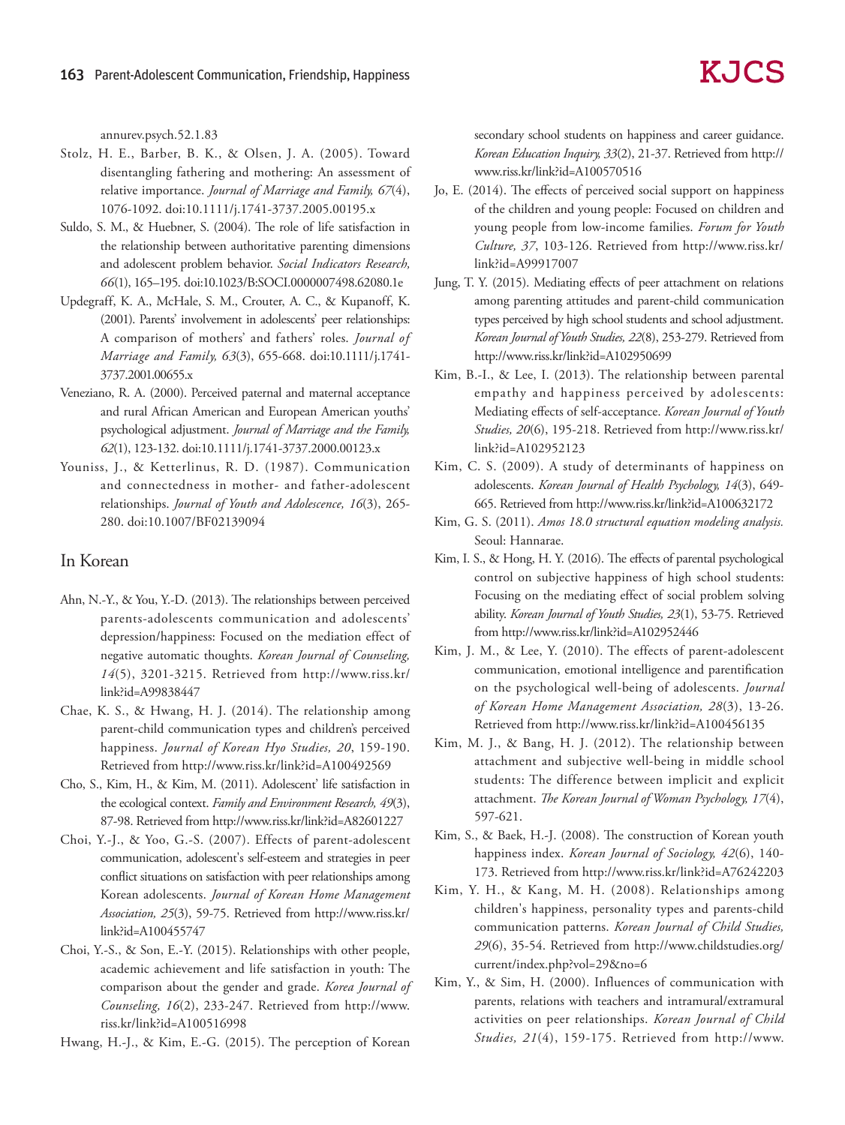annurev.psych.52.1.83

- Stolz, H. E., Barber, B. K., & Olsen, J. A. (2005). Toward disentangling fathering and mothering: An assessment of relative importance. *Journal of Marriage and Family, 67*(4), 1076-1092. doi:10.1111/j.1741-3737.2005.00195.x
- Suldo, S. M., & Huebner, S. (2004). The role of life satisfaction in the relationship between authoritative parenting dimensions and adolescent problem behavior. *Social Indicators Research, 66*(1), 165–195. doi:10.1023/B:SOCI.0000007498.62080.1e
- Updegraff, K. A., McHale, S. M., Crouter, A. C., & Kupanoff, K. (2001). Parents' involvement in adolescents' peer relationships: A comparison of mothers' and fathers' roles. *Journal of Marriage and Family, 63*(3), 655-668. doi:10.1111/j.1741- 3737.2001.00655.x
- Veneziano, R. A. (2000). Perceived paternal and maternal acceptance and rural African American and European American youths' psychological adjustment. *Journal of Marriage and the Family, 62*(1), 123-132. doi:10.1111/j.1741-3737.2000.00123.x
- Youniss, J., & Ketterlinus, R. D. (1987). Communication and connectedness in mother- and father-adolescent relationships. *Journal of Youth and Adolescence, 16*(3), 265- 280. doi:10.1007/BF02139094

### In Korean

- Ahn, N.-Y., & You, Y.-D. (2013). The relationships between perceived parents-adolescents communication and adolescents' depression/happiness: Focused on the mediation effect of negative automatic thoughts. *Korean Journal of Counseling, 14*(5), 3201-3215. Retrieved from http://www.riss.kr/ link?id=A99838447
- Chae, K. S., & Hwang, H. J. (2014). The relationship among parent-child communication types and children's perceived happiness. *Journal of Korean Hyo Studies, 20*, 159-190. Retrieved from http://www.riss.kr/link?id=A100492569
- Cho, S., Kim, H., & Kim, M. (2011). Adolescent' life satisfaction in the ecological context. *Family and Environment Research, 49*(3), 87-98. Retrieved from http://www.riss.kr/link?id=A82601227
- Choi, Y.-J., & Yoo, G.-S. (2007). Effects of parent-adolescent communication, adolescent's self-esteem and strategies in peer conflict situations on satisfaction with peer relationships among Korean adolescents. *Journal of Korean Home Management Association, 25*(3), 59-75. Retrieved from http://www.riss.kr/ link?id=A100455747
- Choi, Y.-S., & Son, E.-Y. (2015). Relationships with other people, academic achievement and life satisfaction in youth: The comparison about the gender and grade. *Korea Journal of Counseling, 16*(2), 233-247. Retrieved from http://www. riss.kr/link?id=A100516998

Hwang, H.-J., & Kim, E.-G. (2015). The perception of Korean

secondary school students on happiness and career guidance. *Korean Education Inquiry, 33*(2), 21-37. Retrieved from http:// www.riss.kr/link?id=A100570516

- Jo, E. (2014). The effects of perceived social support on happiness of the children and young people: Focused on children and young people from low-income families. *Forum for Youth Culture, 37*, 103-126. Retrieved from http://www.riss.kr/ link?id=A99917007
- Jung, T. Y. (2015). Mediating effects of peer attachment on relations among parenting attitudes and parent-child communication types perceived by high school students and school adjustment. *Korean Journal of Youth Studies, 22*(8), 253-279. Retrieved from http://www.riss.kr/link?id=A102950699
- Kim, B.-I., & Lee, I. (2013). The relationship between parental empathy and happiness perceived by adolescents: Mediating effects of self-acceptance. *Korean Journal of Youth Studies, 20*(6), 195-218. Retrieved from http://www.riss.kr/ link?id=A102952123
- Kim, C. S. (2009). A study of determinants of happiness on adolescents. *Korean Journal of Health Psychology, 14*(3), 649- 665. Retrieved from http://www.riss.kr/link?id=A100632172
- Kim, G. S. (2011). *Amos 18.0 structural equation modeling analysis.*  Seoul: Hannarae.
- Kim, I. S., & Hong, H. Y. (2016). The effects of parental psychological control on subjective happiness of high school students: Focusing on the mediating effect of social problem solving ability. *Korean Journal of Youth Studies, 23*(1), 53-75. Retrieved from http://www.riss.kr/link?id=A102952446
- Kim, J. M., & Lee, Y. (2010). The effects of parent-adolescent communication, emotional intelligence and parentification on the psychological well-being of adolescents. *Journal of Korean Home Management Association, 28*(3), 13-26. Retrieved from http://www.riss.kr/link?id=A100456135
- Kim, M. J., & Bang, H. J. (2012). The relationship between attachment and subjective well-being in middle school students: The difference between implicit and explicit attachment. *The Korean Journal of Woman Psychology, 17*(4), 597-621.
- Kim, S., & Baek, H.-J. (2008). The construction of Korean youth happiness index. *Korean Journal of Sociology, 42*(6), 140- 173. Retrieved from http://www.riss.kr/link?id=A76242203
- Kim, Y. H., & Kang, M. H. (2008). Relationships among children's happiness, personality types and parents-child communication patterns. *Korean Journal of Child Studies, 29*(6), 35-54. Retrieved from http://www.childstudies.org/ current/index.php?vol=29&no=6
- Kim, Y., & Sim, H. (2000). Influences of communication with parents, relations with teachers and intramural/extramural activities on peer relationships. *Korean Journal of Child Studies, 21*(4), 159-175. Retrieved from http://www.